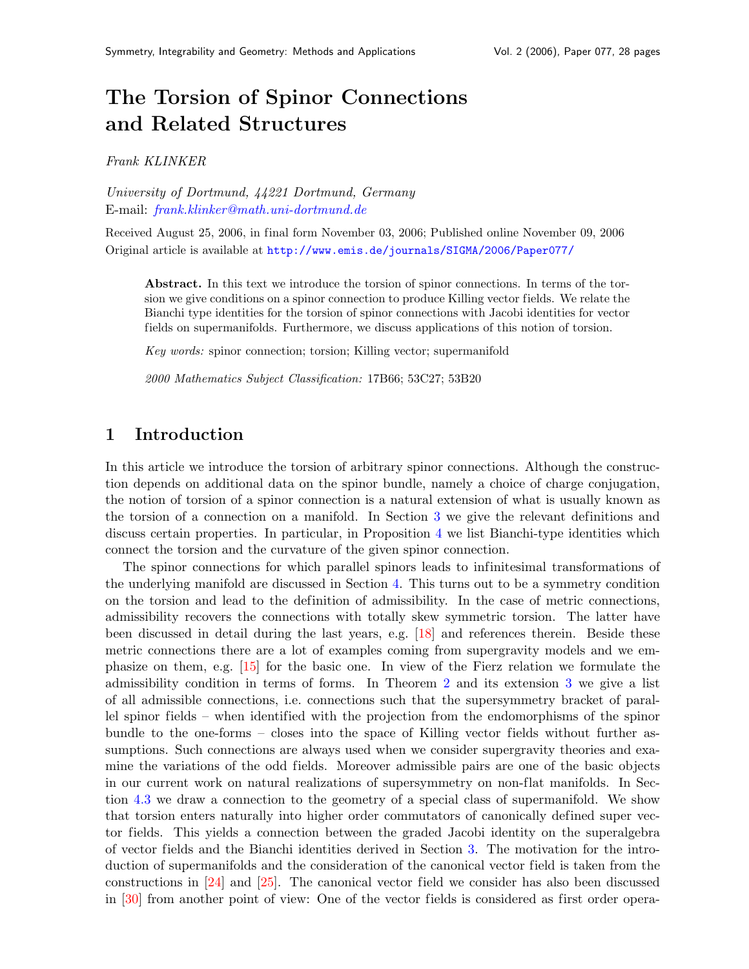# The Torsion of Spinor Connections and Related Structures

Frank KLINKER

University of Dortmund, 44221 Dortmund, Germany E-mail: [frank.klinker@math.uni-dortmund.de](mailto:frank.klinker@math.uni-dortmund.de)

Received August 25, 2006, in final form November 03, 2006; Published online November 09, 2006 Original article is available at <http://www.emis.de/journals/SIGMA/2006/Paper077/>

Abstract. In this text we introduce the torsion of spinor connections. In terms of the torsion we give conditions on a spinor connection to produce Killing vector fields. We relate the Bianchi type identities for the torsion of spinor connections with Jacobi identities for vector fields on supermanifolds. Furthermore, we discuss applications of this notion of torsion.

Key words: spinor connection; torsion; Killing vector; supermanifold

2000 Mathematics Subject Classification: 17B66; 53C27; 53B20

### 1 Introduction

In this article we introduce the torsion of arbitrary spinor connections. Although the construction depends on additional data on the spinor bundle, namely a choice of charge conjugation, the notion of torsion of a spinor connection is a natural extension of what is usually known as the torsion of a connection on a manifold. In Section [3](#page-3-0) we give the relevant definitions and discuss certain properties. In particular, in Proposition [4](#page-5-0) we list Bianchi-type identities which connect the torsion and the curvature of the given spinor connection.

The spinor connections for which parallel spinors leads to infinitesimal transformations of the underlying manifold are discussed in Section [4.](#page-6-0) This turns out to be a symmetry condition on the torsion and lead to the definition of admissibility. In the case of metric connections, admissibility recovers the connections with totally skew symmetric torsion. The latter have been discussed in detail during the last years, e.g. [\[18\]](#page-26-0) and references therein. Beside these metric connections there are a lot of examples coming from supergravity models and we emphasize on them, e.g. [\[15\]](#page-26-1) for the basic one. In view of the Fierz relation we formulate the admissibility condition in terms of forms. In Theorem [2](#page-7-0) and its extension [3](#page-9-0) we give a list of all admissible connections, i.e. connections such that the supersymmetry bracket of parallel spinor fields – when identified with the projection from the endomorphisms of the spinor bundle to the one-forms – closes into the space of Killing vector fields without further assumptions. Such connections are always used when we consider supergravity theories and examine the variations of the odd fields. Moreover admissible pairs are one of the basic objects in our current work on natural realizations of supersymmetry on non-flat manifolds. In Section [4.3](#page-12-0) we draw a connection to the geometry of a special class of supermanifold. We show that torsion enters naturally into higher order commutators of canonically defined super vector fields. This yields a connection between the graded Jacobi identity on the superalgebra of vector fields and the Bianchi identities derived in Section [3.](#page-3-0) The motivation for the introduction of supermanifolds and the consideration of the canonical vector field is taken from the constructions in [\[24\]](#page-27-0) and [\[25\]](#page-27-1). The canonical vector field we consider has also been discussed in [\[30\]](#page-27-2) from another point of view: One of the vector fields is considered as first order opera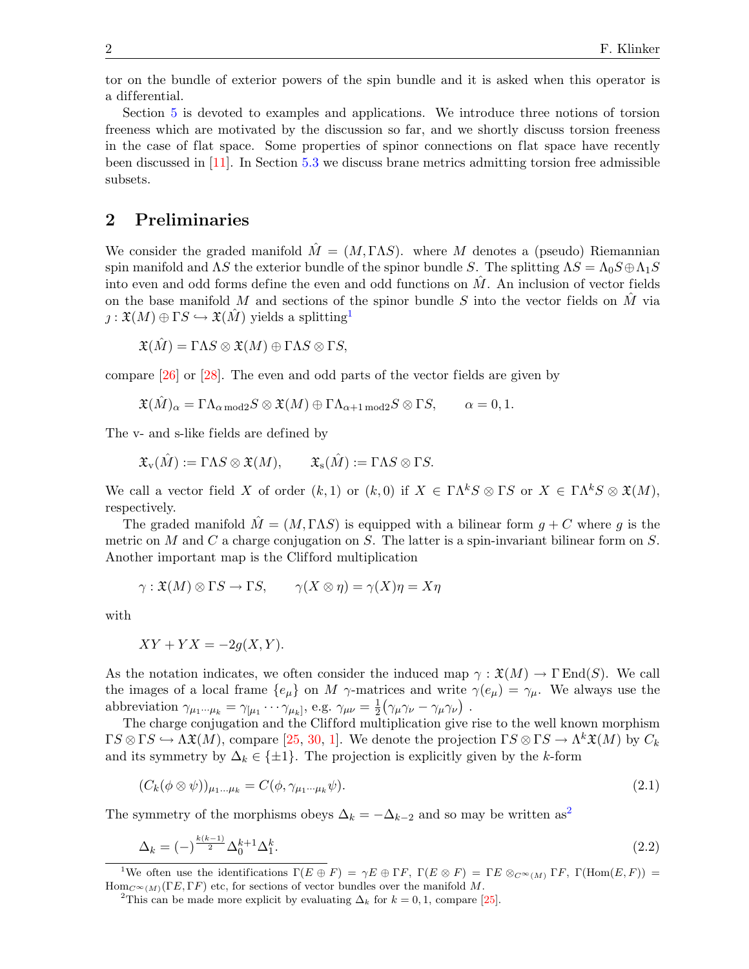tor on the bundle of exterior powers of the spin bundle and it is asked when this operator is a dif ferential.

Section [5](#page-14-0) is devoted to examples and applications. We introduce three notions of torsion freeness which are motivated by the discussion so far, and we shortly discuss torsion freeness in the case of flat space. Some properties of spinor connections on flat space have recently been discussed in [\[11\]](#page-26-2). In Section [5.3](#page-19-0) we discuss brane metrics admitting torsion free admissible subsets.

### <span id="page-1-3"></span>2 Preliminaries

We consider the graded manifold  $\hat{M} = (M, \Gamma \Lambda S)$ , where M denotes a (pseudo) Riemannian spin manifold and  $\Lambda S$  the exterior bundle of the spinor bundle S. The splitting  $\Lambda S = \Lambda_0 S \oplus \Lambda_1 S$ into even and odd forms define the even and odd functions on  $\tilde{M}$ . An inclusion of vector fields on the base manifold M and sections of the spinor bundle S into the vector fields on M via  $\chi: \mathfrak{X}(M) \oplus \Gamma S \hookrightarrow \mathfrak{X}(M)$  yields a splitting<sup>[1](#page-1-0)</sup>

$$
\mathfrak{X}(\hat{M}) = \Gamma \Lambda S \otimes \mathfrak{X}(M) \oplus \Gamma \Lambda S \otimes \Gamma S,
$$

compare [\[26\]](#page-27-3) or [\[28\]](#page-27-4). The even and odd parts of the vector fields are given by

$$
\mathfrak{X}(\hat{M})_\alpha = \Gamma \Lambda_{\alpha \bmod 2} S \otimes \mathfrak{X}(M) \oplus \Gamma \Lambda_{\alpha+1 \bmod 2} S \otimes \Gamma S, \qquad \alpha = 0, 1.
$$

The v- and s-like fields are defined by

$$
\mathfrak{X}_{\mathrm{v}}(\hat{M}) := \Gamma \Lambda S \otimes \mathfrak{X}(M), \qquad \mathfrak{X}_{\mathrm{s}}(\hat{M}) := \Gamma \Lambda S \otimes \Gamma S.
$$

We call a vector field X of order  $(k, 1)$  or  $(k, 0)$  if  $X \in \Gamma \Lambda^k S \otimes \Gamma S$  or  $X \in \Gamma \Lambda^k S \otimes \mathfrak{X}(M)$ , respectively.

The graded manifold  $\hat{M} = (M, \Gamma \Lambda S)$  is equipped with a bilinear form  $g + C$  where g is the metric on M and C a charge conjugation on S. The latter is a spin-invariant bilinear form on S. Another important map is the Clifford multiplication

$$
\gamma: \mathfrak{X}(M) \otimes \Gamma S \to \Gamma S, \qquad \gamma(X \otimes \eta) = \gamma(X)\eta = X\eta
$$

with

$$
XY + YX = -2g(X, Y).
$$

As the notation indicates, we often consider the induced map  $\gamma : \mathfrak{X}(M) \to \Gamma \text{End}(S)$ . We call the images of a local frame  ${e_{\mu}}$  on M  $\gamma$ -matrices and write  $\gamma(e_{\mu}) = \gamma_{\mu}$ . We always use the abbreviation  $\gamma_{\mu_1\cdots\mu_k} = \gamma_{\mu_1} \cdots \gamma_{\mu_k}$ , e.g.  $\gamma_{\mu\nu} = \frac{1}{2}$  $\frac{1}{2}(\gamma_\mu\gamma_\nu-\gamma_\mu\gamma_\nu)$  .

The charge conjugation and the Clifford multiplication give rise to the well known morphism  $\Gamma S \otimes \Gamma S \hookrightarrow \Lambda \mathfrak{X}(M)$ , compare [\[25,](#page-27-1) [30,](#page-27-2) [1\]](#page-26-3). We denote the projection  $\Gamma S \otimes \Gamma S \to \Lambda^k \mathfrak{X}(M)$  by  $C_k$ and its symmetry by  $\Delta_k \in \{\pm 1\}$ . The projection is explicitly given by the k-form

<span id="page-1-4"></span><span id="page-1-2"></span>
$$
(C_k(\phi \otimes \psi))_{\mu_1...\mu_k} = C(\phi, \gamma_{\mu_1...\mu_k}\psi). \tag{2.1}
$$

The symmetry of the morphisms obeys  $\Delta_k = -\Delta_{k-2}$  $\Delta_k = -\Delta_{k-2}$  $\Delta_k = -\Delta_{k-2}$  and so may be written as<sup>2</sup>

$$
\Delta_k = (-)^{\frac{k(k-1)}{2}} \Delta_0^{k+1} \Delta_1^k. \tag{2.2}
$$

<span id="page-1-0"></span><sup>&</sup>lt;sup>1</sup>We often use the identifications  $\Gamma(E \oplus F) = \gamma E \oplus \Gamma F$ ,  $\Gamma(E \otimes F) = \Gamma E \otimes_{C^{\infty}(M)} \Gamma F$ ,  $\Gamma(\text{Hom}(E, F)) =$  $\text{Hom}_{C^{\infty}(M)}(\Gamma E, \Gamma F)$  etc, for sections of vector bundles over the manifold M.

<span id="page-1-1"></span><sup>&</sup>lt;sup>2</sup>This can be made more explicit by evaluating  $\Delta_k$  for  $k = 0, 1$ , compare [\[25\]](#page-27-1).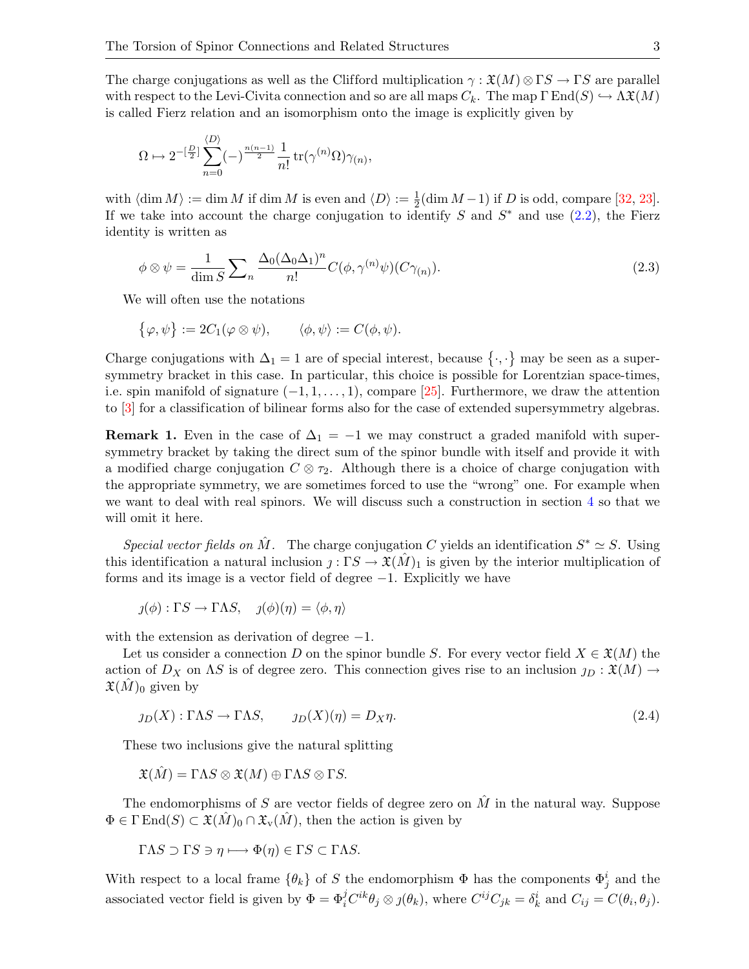The charge conjugations as well as the Clifford multiplication  $\gamma : \mathfrak{X}(M) \otimes \Gamma S \to \Gamma S$  are parallel with respect to the Levi-Civita connection and so are all maps  $C_k$ . The map  $\Gamma \text{End}(S) \hookrightarrow \Lambda \mathfrak{X}(M)$ is called Fierz relation and an isomorphism onto the image is explicitly given by

$$
\Omega \mapsto 2^{-\left[\frac{D}{2}\right]} \sum_{n=0}^{\langle D \rangle} (-)^{\frac{n(n-1)}{2}} \frac{1}{n!} \operatorname{tr}(\gamma^{(n)} \Omega) \gamma_{(n)},
$$

with  $\langle \dim M \rangle := \dim M$  if  $\dim M$  is even and  $\langle D \rangle := \frac{1}{2}(\dim M - 1)$  if D is odd, compare [\[32,](#page-27-5) [23\]](#page-27-6). If we take into account the charge conjugation to identify S and  $S^*$  and use  $(2.2)$ , the Fierz identity is written as

<span id="page-2-1"></span>
$$
\phi \otimes \psi = \frac{1}{\dim S} \sum_{n} \frac{\Delta_0 (\Delta_0 \Delta_1)^n}{n!} C(\phi, \gamma^{(n)} \psi)(C\gamma_{(n)}).
$$
\n(2.3)

We will often use the notations

$$
\{\varphi,\psi\} := 2C_1(\varphi \otimes \psi), \qquad \langle \phi,\psi \rangle := C(\phi,\psi).
$$

Charge conjugations with  $\Delta_1 = 1$  are of special interest, because  $\{\cdot,\cdot\}$  may be seen as a supersymmetry bracket in this case. In particular, this choice is possible for Lorentzian space-times, i.e. spin manifold of signature  $(-1, 1, \ldots, 1)$ , compare [\[25\]](#page-27-1). Furthermore, we draw the attention to [\[3\]](#page-26-4) for a classification of bilinear forms also for the case of extended supersymmetry algebras.

**Remark 1.** Even in the case of  $\Delta_1 = -1$  we may construct a graded manifold with supersymmetry bracket by taking the direct sum of the spinor bundle with itself and provide it with a modified charge conjugation  $C \otimes \tau_2$ . Although there is a choice of charge conjugation with the appropriate symmetry, we are sometimes forced to use the "wrong" one. For example when we want to deal with real spinors. We will discuss such a construction in section [4](#page-6-0) so that we will omit it here.

Special vector fields on  $\hat{M}$ . The charge conjugation C yields an identification  $S^* \simeq S$ . Using this identification a natural inclusion  $j: \Gamma S \to \mathfrak{X}(M)$  is given by the interior multiplication of forms and its image is a vector field of degree  $-1$ . Explicitly we have

$$
j(\phi) : \Gamma S \to \Gamma \Lambda S, \quad j(\phi)(\eta) = \langle \phi, \eta \rangle
$$

with the extension as derivation of degree  $-1$ .

Let us consider a connection D on the spinor bundle S. For every vector field  $X \in \mathfrak{X}(M)$  the action of  $D_X$  on AS is of degree zero. This connection gives rise to an inclusion  $y_D : \mathfrak{X}(M) \to$  $\mathfrak{X}(M)_0$  given by

<span id="page-2-0"></span>
$$
j_D(X) : \Gamma \Lambda S \to \Gamma \Lambda S, \qquad j_D(X)(\eta) = D_X \eta. \tag{2.4}
$$

These two inclusions give the natural splitting

$$
\mathfrak{X}(\hat{M}) = \Gamma \Lambda S \otimes \mathfrak{X}(M) \oplus \Gamma \Lambda S \otimes \Gamma S.
$$

The endomorphisms of S are vector fields of degree zero on  $\hat{M}$  in the natural way. Suppose  $\Phi \in \Gamma \text{End}(S) \subset \mathfrak{X}(M)_0 \cap \mathfrak{X}_v(M)$ , then the action is given by

$$
\Gamma \Lambda S \supset \Gamma S \ni \eta \longmapsto \Phi(\eta) \in \Gamma S \subset \Gamma \Lambda S.
$$

With respect to a local frame  $\{\theta_k\}$  of S the endomorphism  $\Phi$  has the components  $\Phi_j^i$  and the associated vector field is given by  $\Phi = \Phi_i^j C^{ik} \theta_j \otimes j(\theta_k)$ , where  $C^{ij} C_{jk} = \delta_k^i$  and  $C_{ij} = C(\theta_i, \theta_j)$ .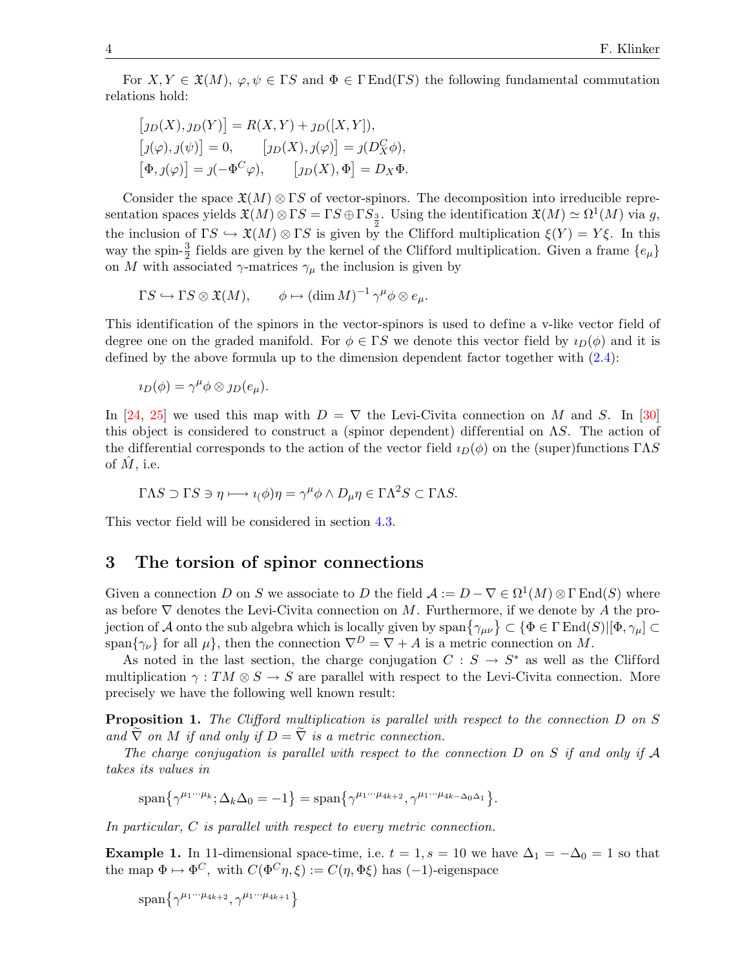For  $X, Y \in \mathfrak{X}(M)$ ,  $\varphi, \psi \in \Gamma S$  and  $\Phi \in \Gamma \text{End}(\Gamma S)$  the following fundamental commutation relations hold:

$$
[j_D(X), j_D(Y)] = R(X, Y) + j_D([X, Y]),
$$
  
\n
$$
[j(\varphi), j(\psi)] = 0, \qquad [j_D(X), j(\varphi)] = j(D_X^C \phi),
$$
  
\n
$$
[\Phi, j(\varphi)] = j(-\Phi^C \varphi), \qquad [j_D(X), \Phi] = D_X \Phi.
$$

Consider the space  $\mathfrak{X}(M) \otimes \Gamma S$  of vector-spinors. The decomposition into irreducible representation spaces yields  $\mathfrak{X}(M)\otimes \Gamma S = \Gamma S \oplus \Gamma S_{\frac{3}{2}}$ . Using the identification  $\mathfrak{X}(M) \simeq \Omega^1(M)$  via g, the inclusion of  $\Gamma S \hookrightarrow \mathfrak{X}(M) \otimes \Gamma S$  is given by the Clifford multiplication  $\xi(Y) = Y \xi$ . In this way the spin- $\frac{3}{2}$  fields are given by the kernel of the Clifford multiplication. Given a frame  $\{e_{\mu}\}$ on M with associated  $\gamma$ -matrices  $\gamma_\mu$  the inclusion is given by

$$
\Gamma S \hookrightarrow \Gamma S \otimes \mathfrak{X}(M), \qquad \phi \mapsto (\dim M)^{-1} \gamma^{\mu} \phi \otimes e_{\mu}.
$$

This identification of the spinors in the vector-spinors is used to define a v-like vector field of degree one on the graded manifold. For  $\phi \in \Gamma S$  we denote this vector field by  $i_D(\phi)$  and it is defined by the above formula up to the dimension dependent factor together with [\(2.4\)](#page-2-0):

$$
\iota_D(\phi) = \gamma^{\mu} \phi \otimes \jmath_D(e_{\mu}).
$$

In [\[24,](#page-27-0) [25\]](#page-27-1) we used this map with  $D = \nabla$  the Levi-Civita connection on M and S. In [\[30\]](#page-27-2) this object is considered to construct a (spinor dependent) differential on  $\Lambda S$ . The action of the differential corresponds to the action of the vector field  $i_D(\phi)$  on the (super)functions ΓΛS of  $M$ , i.e.

$$
\Gamma \Lambda S \supset \Gamma S \ni \eta \longmapsto \iota(\phi)\eta = \gamma^{\mu} \phi \wedge D_{\mu}\eta \in \Gamma \Lambda^2 S \subset \Gamma \Lambda S.
$$

This vector field will be considered in section [4.3.](#page-12-0)

### <span id="page-3-0"></span>3 The torsion of spinor connections

Given a connection D on S we associate to D the field  $\mathcal{A} := D - \nabla \in \Omega^1(M) \otimes \Gamma \operatorname{End}(S)$  where as before  $\nabla$  denotes the Levi-Civita connection on M. Furthermore, if we denote by A the projection of A onto the sub algebra which is locally given by  $\text{span}\{\gamma_{\mu\nu}\}\subset \{\Phi\in\Gamma\,\text{End}(S)|[\Phi,\gamma_\mu]\subset\Gamma\}$ span $\{\gamma_{\nu}\}\$ for all  $\mu\}$ , then the connection  $\nabla^{D} = \nabla + A$  is a metric connection on M.

As noted in the last section, the charge conjugation  $C : S \to S^*$  as well as the Clifford multiplication  $\gamma: TM \otimes S \to S$  are parallel with respect to the Levi-Civita connection. More precisely we have the following well known result:

Proposition 1. The Clifford multiplication is parallel with respect to the connection D on S and  $\tilde{\nabla}$  on M if and only if  $D = \tilde{\nabla}$  is a metric connection.

The charge conjugation is parallel with respect to the connection  $D$  on  $S$  if and only if  $\mathcal A$ takes its values in

$$
\text{span}\{\gamma^{\mu_1\cdots\mu_k};\Delta_k\Delta_0=-1\}=\text{span}\{\gamma^{\mu_1\cdots\mu_{4k+2}},\gamma^{\mu_1\cdots\mu_{4k-\Delta_0\Delta_1}}\}.
$$

In particular, C is parallel with respect to every metric connection.

<span id="page-3-1"></span>**Example 1.** In 11-dimensional space-time, i.e.  $t = 1$ ,  $s = 10$  we have  $\Delta_1 = -\Delta_0 = 1$  so that the map  $\Phi \mapsto \Phi^C$ , with  $C(\Phi^C \eta, \xi) := C(\eta, \Phi \xi)$  has  $(-1)$ -eigenspace

 $\text{span}\{\gamma^{\mu_1\cdots\mu_{4k+2}},\gamma^{\mu_1\cdots\mu_{4k+1}}\}$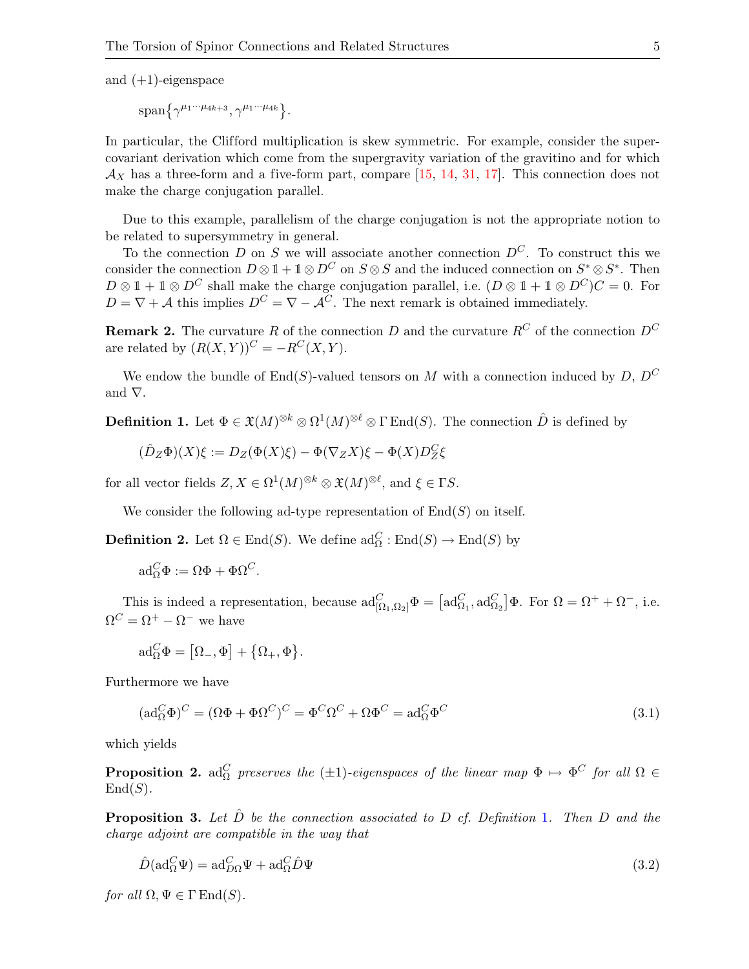and  $(+1)$ -eigenspace

 $\text{span}\{\gamma^{\mu_1\cdots\mu_{4k+3}},\gamma^{\mu_1\cdots\mu_{4k}}\}.$ 

In particular, the Clifford multiplication is skew symmetric. For example, consider the supercovariant derivation which come from the supergravity variation of the gravitino and for which  $\mathcal{A}_X$  has a three-form and a five-form part, compare [\[15,](#page-26-1) [14,](#page-26-5) [31,](#page-27-7) [17\]](#page-26-6). This connection does not make the charge conjugation parallel.

Due to this example, parallelism of the charge conjugation is not the appropriate notion to be related to supersymmetry in general.

To the connection D on S we will associate another connection  $D^{C}$ . To construct this we consider the connection  $D \otimes \mathbb{1} + \mathbb{1} \otimes D^C$  on  $S \otimes S$  and the induced connection on  $S^* \otimes S^*$ . Then  $D \otimes \mathbb{1} + \mathbb{1} \otimes D^C$  shall make the charge conjugation parallel, i.e.  $(D \otimes \mathbb{1} + \mathbb{1} \otimes D^C)C = 0$ . For  $D = \nabla + A$  this implies  $D^C = \nabla - A^C$ . The next remark is obtained immediately.

<span id="page-4-2"></span>**Remark 2.** The curvature R of the connection D and the curvature  $R^C$  of the connection  $D^C$ are related by  $(R(X, Y))^C = -R^C(X, Y)$ .

We endow the bundle of  $End(S)$ -valued tensors on M with a connection induced by D,  $D^C$ and ∇.

<span id="page-4-0"></span>**Definition 1.** Let  $\Phi \in \mathfrak{X}(M)^{\otimes k} \otimes \Omega^1(M)^{\otimes \ell} \otimes \Gamma \text{End}(S)$ . The connection  $\hat{D}$  is defined by

$$
(\hat{D}_Z\Phi)(X)\xi := D_Z(\Phi(X)\xi) - \Phi(\nabla_Z X)\xi - \Phi(X)D_Z^C\xi
$$

for all vector fields  $Z, X \in \Omega^1(M)^{\otimes k} \otimes \mathfrak{X}(M)^{\otimes \ell}$ , and  $\xi \in \Gamma S$ .

We consider the following ad-type representation of  $End(S)$  on itself.

**Definition 2.** Let  $\Omega \in \text{End}(S)$ . We define  $\text{ad}_{\Omega}^{C} : \text{End}(S) \to \text{End}(S)$  by

$$
\mathrm{ad}_{\Omega}^C \Phi := \Omega \Phi + \Phi \Omega^C.
$$

This is indeed a representation, because  $\mathrm{ad}^C_{[\Omega_1,\Omega_2]}\Phi = [\mathrm{ad}^C_{\Omega_1}, \mathrm{ad}^C_{\Omega_2}]\Phi$ . For  $\Omega = \Omega^+ + \Omega^-$ , i.e.  $\Omega^C = \Omega^+ - \Omega^-$  we have

<span id="page-4-1"></span>
$$
\mathrm{ad}_{\Omega}^{C} \Phi = [\Omega_{-}, \Phi] + {\Omega_{+}, \Phi}.
$$

Furthermore we have

$$
(\mathrm{ad}_{\Omega}^{C} \Phi)^{C} = (\Omega \Phi + \Phi \Omega^{C})^{C} = \Phi^{C} \Omega^{C} + \Omega \Phi^{C} = \mathrm{ad}_{\Omega}^{C} \Phi^{C}
$$
\n(3.1)

which yields

**Proposition 2.** ad<sub> $\Omega$ </sub> preserves the ( $\pm 1$ )-eigenspaces of the linear map  $\Phi \mapsto \Phi^C$  for all  $\Omega \in$  $End(S)$ .

**Proposition 3.** Let D be the connection associated to D cf. Definition [1](#page-4-0). Then D and the charge adjoint are compatible in the way that

<span id="page-4-3"></span>
$$
\hat{D}(\text{ad}_{\Omega}^{C}\Psi) = \text{ad}_{D\Omega}^{C}\Psi + \text{ad}_{\Omega}^{C}\hat{D}\Psi
$$
\n(3.2)

<span id="page-4-4"></span>for all  $\Omega, \Psi \in \Gamma \text{End}(S)$ .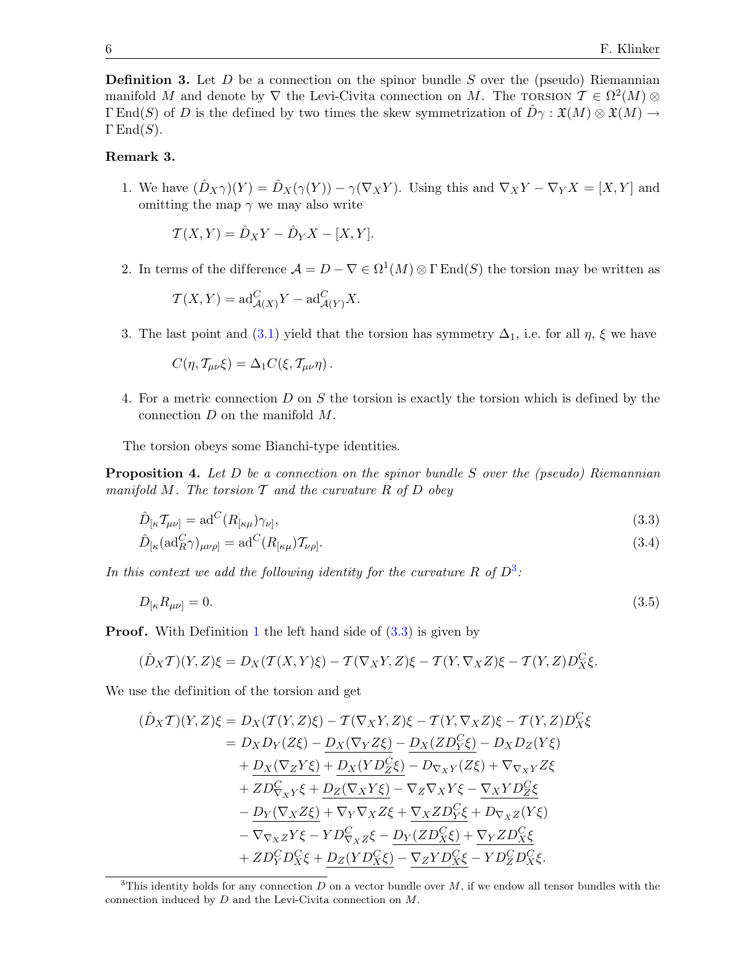**Definition 3.** Let  $D$  be a connection on the spinor bundle  $S$  over the (pseudo) Riemannian manifold M and denote by  $\nabla$  the Levi-Civita connection on M. The TORSION  $\mathcal{T} \in \Omega^2(M)$   $\otimes$  $\Gamma \text{End}(S)$  of D is the defined by two times the skew symmetrization of  $D\gamma : \mathfrak{X}(M) \otimes \mathfrak{X}(M) \rightarrow$  $\Gamma$  End $(S)$ .

### Remark 3.

1. We have  $(\hat{D}_X\gamma)(Y) = \hat{D}_X(\gamma(Y)) - \gamma(\nabla_X Y)$ . Using this and  $\nabla_X Y - \nabla_Y X = [X, Y]$  and omitting the map  $\gamma$  we may also write

$$
\mathcal{T}(X,Y) = \hat{D}_X Y - \hat{D}_Y X - [X,Y].
$$

2. In terms of the difference  $\mathcal{A} = D - \nabla \in \Omega^1(M) \otimes \Gamma \operatorname{End}(S)$  the torsion may be written as

$$
\mathcal{T}(X,Y) = \mathrm{ad}_{\mathcal{A}(X)}^C Y - \mathrm{ad}_{\mathcal{A}(Y)}^C X.
$$

3. The last point and [\(3.1\)](#page-4-1) yield that the torsion has symmetry  $\Delta_1$ , i.e. for all  $\eta$ ,  $\xi$  we have

<span id="page-5-4"></span><span id="page-5-2"></span>
$$
C(\eta, \mathcal{T}_{\mu\nu}\xi) = \Delta_1 C(\xi, \mathcal{T}_{\mu\nu}\eta).
$$

4. For a metric connection D on S the torsion is exactly the torsion which is defined by the connection D on the manifold M.

The torsion obeys some Bianchi-type identities.

<span id="page-5-0"></span>**Proposition 4.** Let D be a connection on the spinor bundle S over the (pseudo) Riemannian manifold  $M$ . The torsion  $T$  and the curvature  $R$  of  $D$  obey

$$
\hat{D}_{\left[\kappa} \mathcal{T}_{\mu\nu\right]} = \text{ad}^C (R_{\left[\kappa\mu\right]} \gamma_{\nu]},\tag{3.3}
$$

<span id="page-5-3"></span>
$$
\hat{D}_{[\kappa}(\text{ad}_R^C \gamma)_{\mu\nu\rho]} = \text{ad}^C(R_{[\kappa\mu)} \mathcal{T}_{\nu\rho]}.
$$
\n(3.4)

In this context we add the following identity for the curvature R of  $D^3$  $D^3$ :

$$
D_{\lbrack\kappa}R_{\mu\nu\rbrack} = 0.\tag{3.5}
$$

**Proof.** With Definition [1](#page-4-0) the left hand side of  $(3.3)$  is given by

$$
(\hat{D}_X\mathcal{T})(Y,Z)\xi = D_X(\mathcal{T}(X,Y)\xi) - \mathcal{T}(\nabla_XY,Z)\xi - \mathcal{T}(Y,\nabla_XZ)\xi - \mathcal{T}(Y,Z)D_X^C\xi.
$$

We use the definition of the torsion and get

$$
(\hat{D}_X \mathcal{T})(Y, Z)\xi = D_X(\mathcal{T}(Y, Z)\xi) - \mathcal{T}(\nabla_X Y, Z)\xi - \mathcal{T}(Y, \nabla_X Z)\xi - \mathcal{T}(Y, Z)D_X^C\xi
$$
  
\n
$$
= D_X D_Y(Z\xi) - \underline{D}_X(\nabla_Y Z\xi) - \underline{D}_X(ZD_Y^C\xi) - D_X D_Z(Y\xi)
$$
  
\n
$$
+ \underline{D}_X(\nabla_Z Y\xi) + \underline{D}_X(YD_Z^C\xi) - D_{\nabla_X Y}(Z\xi) + \nabla_{\nabla_X Y}Z\xi
$$
  
\n
$$
+ ZD_{\nabla_X Y}^C\xi + \underline{D}_Z(\nabla_X Y\xi) - \nabla_Z \nabla_X Y\xi - \underline{\nabla}_X YD_Z^C\xi
$$
  
\n
$$
- \underline{D}_Y(\nabla_X Z\xi) + \nabla_Y \nabla_X Z\xi + \underline{\nabla}_X ZD_Y^C\xi + D_{\nabla_X Z}(Y\xi)
$$
  
\n
$$
- \nabla_{\nabla_X Z}Y\xi - YD_{\nabla_X Z}^C\xi - \underline{D}_Y(ZD_X^C\xi) + \nabla_Y ZD_X^C\xi
$$
  
\n
$$
+ ZD_Y^C D_X^C\xi + D_Z(YD_X^C\xi) - \nabla_Z YD_X^C\xi - YD_Z^C D_X^C\xi.
$$

<span id="page-5-1"></span><sup>&</sup>lt;sup>3</sup>This identity holds for any connection  $D$  on a vector bundle over  $M$ , if we endow all tensor bundles with the connection induced by D and the Levi-Civita connection on M.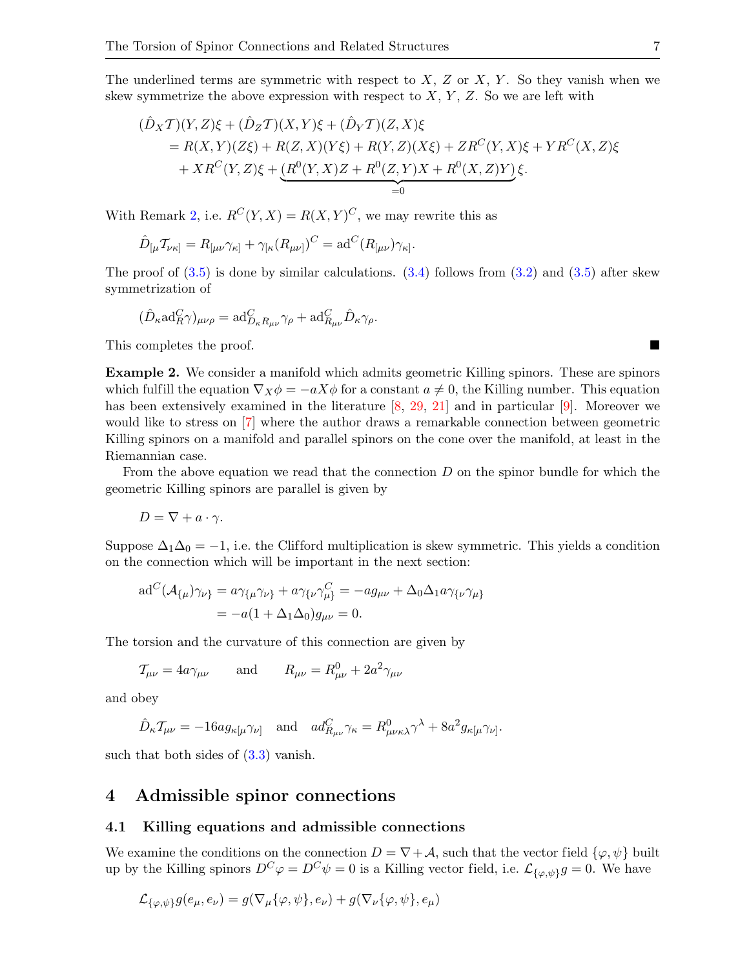The underlined terms are symmetric with respect to  $X, Z$  or  $X, Y$ . So they vanish when we skew symmetrize the above expression with respect to  $X, Y, Z$ . So we are left with

$$
(\hat{D}_X \mathcal{T})(Y, Z)\xi + (\hat{D}_Z \mathcal{T})(X, Y)\xi + (\hat{D}_Y \mathcal{T})(Z, X)\xi
$$
  
= R(X, Y)(Z\xi) + R(Z, X)(Y\xi) + R(Y, Z)(X\xi) + ZR^C(Y, X)\xi + YR^C(X, Z)\xi  
+ XR^C(Y, Z)\xi + (R^0(Y, X)Z + R^0(Z, Y)X + R^0(X, Z)Y)\xi.  
=0

With Remark [2,](#page-4-2) i.e.  $R^{C}(Y, X) = R(X, Y)^{C}$ , we may rewrite this as

$$
\hat{D}_{\lbrack\mu}\mathcal{T}_{\nu\kappa]} = R_{\lbrack\mu\nu}\gamma_{\kappa\rbrack} + \gamma_{\lbrack\kappa}(R_{\mu\nu\rbrack})^C = \mathrm{ad}^C(R_{\lbrack\mu\nu})\gamma_{\kappa\rbrack}.
$$

The proof of  $(3.5)$  is done by similar calculations.  $(3.4)$  follows from  $(3.2)$  and  $(3.5)$  after skew symmetrization of

$$
(\hat{D}_{\kappa} \mathrm{ad}_{R}^{C} \gamma)_{\mu\nu\rho} = \mathrm{ad}_{D_{\kappa}R_{\mu\nu}}^{C} \gamma_{\rho} + \mathrm{ad}_{R_{\mu\nu}}^{C} \hat{D}_{\kappa} \gamma_{\rho}.
$$

This completes the proof.

Example 2. We consider a manifold which admits geometric Killing spinors. These are spinors which fulfill the equation  $\nabla_X \phi = -aX\phi$  for a constant  $a \neq 0$ , the Killing number. This equation has been extensively examined in the literature [\[8,](#page-26-7) [29,](#page-27-8) [21\]](#page-27-9) and in particular [\[9\]](#page-26-8). Moreover we would like to stress on [\[7\]](#page-26-9) where the author draws a remarkable connection between geometric Killing spinors on a manifold and parallel spinors on the cone over the manifold, at least in the Riemannian case.

From the above equation we read that the connection  $D$  on the spinor bundle for which the geometric Killing spinors are parallel is given by

$$
D = \nabla + a \cdot \gamma.
$$

Suppose  $\Delta_1\Delta_0 = -1$ , i.e. the Clifford multiplication is skew symmetric. This yields a condition on the connection which will be important in the next section:

$$
ad^{C}(\mathcal{A}_{\{\mu\}}\gamma_{\nu\}} = a\gamma_{\{\mu}\gamma_{\nu\}} + a\gamma_{\{\nu}\gamma_{\mu\}}^{C} = -ag_{\mu\nu} + \Delta_{0}\Delta_{1}a\gamma_{\{\nu}\gamma_{\mu\}}
$$

$$
= -a(1 + \Delta_{1}\Delta_{0})g_{\mu\nu} = 0.
$$

The torsion and the curvature of this connection are given by

$$
\mathcal{T}_{\mu\nu} = 4a\gamma_{\mu\nu} \qquad \text{and} \qquad R_{\mu\nu} = R_{\mu\nu}^0 + 2a^2\gamma_{\mu\nu}
$$

and obey

$$
\hat{D}_{\kappa} \mathcal{T}_{\mu\nu} = -16a g_{\kappa[\mu} \gamma_{\nu]} \quad \text{and} \quad a d_{R_{\mu\nu}}^C \gamma_{\kappa} = R_{\mu\nu\kappa\lambda}^0 \gamma^{\lambda} + 8a^2 g_{\kappa[\mu} \gamma_{\nu]}.
$$

such that both sides of  $(3.3)$  vanish.

### <span id="page-6-0"></span>4 Admissible spinor connections

#### 4.1 Killing equations and admissible connections

We examine the conditions on the connection  $D = \nabla + A$ , such that the vector field  $\{\varphi, \psi\}$  built up by the Killing spinors  $D^C \varphi = D^C \psi = 0$  is a Killing vector field, i.e.  $\mathcal{L}_{\{\varphi,\psi\}}g = 0$ . We have

$$
\mathcal{L}_{\{\varphi,\psi\}}g(e_{\mu},e_{\nu})=g(\nabla_{\mu}\{\varphi,\psi\},e_{\nu})+g(\nabla_{\nu}\{\varphi,\psi\},e_{\mu})
$$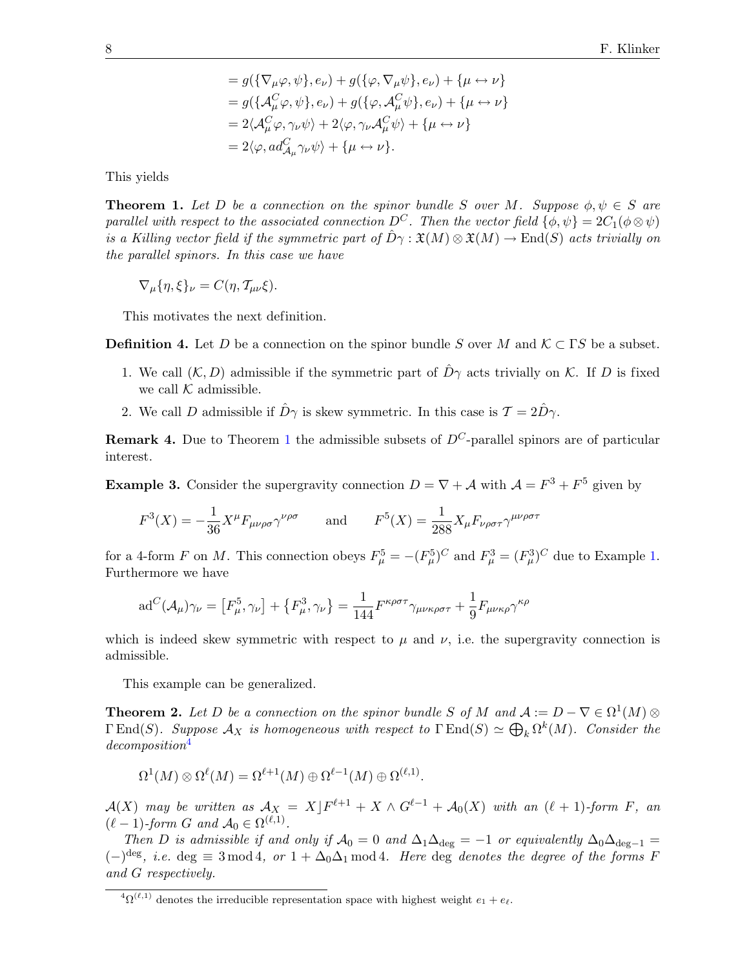$$
= g(\{\nabla_{\mu}\varphi, \psi\}, e_{\nu}) + g(\{\varphi, \nabla_{\mu}\psi\}, e_{\nu}) + \{\mu \leftrightarrow \nu\}
$$
  
\n
$$
= g(\{\mathcal{A}_{\mu}^{C}\varphi, \psi\}, e_{\nu}) + g(\{\varphi, \mathcal{A}_{\mu}^{C}\psi\}, e_{\nu}) + \{\mu \leftrightarrow \nu\}
$$
  
\n
$$
= 2\langle \mathcal{A}_{\mu}^{C}\varphi, \gamma_{\nu}\psi \rangle + 2\langle \varphi, \gamma_{\nu}\mathcal{A}_{\mu}^{C}\psi \rangle + \{\mu \leftrightarrow \nu\}
$$
  
\n
$$
= 2\langle \varphi, ad_{\mathcal{A}_{\mu}}^{C}\gamma_{\nu}\psi \rangle + \{\mu \leftrightarrow \nu\}.
$$

<span id="page-7-1"></span>This yields

**Theorem 1.** Let D be a connection on the spinor bundle S over M. Suppose  $\phi, \psi \in S$  are parallel with respect to the associated connection  $D^C$ . Then the vector field  $\{\phi, \psi\} = 2C_1(\phi \otimes \psi)$ is a Killing vector field if the symmetric part of  $\hat{D}\gamma : \mathfrak{X}(M) \otimes \mathfrak{X}(M) \to \text{End}(S)$  acts trivially on the parallel spinors. In this case we have

$$
\nabla_{\mu} \{ \eta, \xi \}_{\nu} = C(\eta, \mathcal{T}_{\mu \nu} \xi).
$$

This motivates the next definition.

<span id="page-7-4"></span>**Definition 4.** Let D be a connection on the spinor bundle S over M and  $\mathcal{K} \subset \Gamma S$  be a subset.

- 1. We call  $(K, D)$  admissible if the symmetric part of  $\hat{D}\gamma$  acts trivially on K. If D is fixed we call  $K$  admissible.
- 2. We call D admissible if  $\hat{D}\gamma$  is skew symmetric. In this case is  $\mathcal{T} = 2\hat{D}\gamma$ .

**Remark 4.** Due to Theorem [1](#page-7-1) the admissible subsets of  $D^{C}$ -parallel spinors are of particular interest.

<span id="page-7-3"></span>**Example 3.** Consider the supergravity connection  $D = \nabla + A$  with  $A = F^3 + F^5$  given by

$$
F^3(X) = -\frac{1}{36}X^{\mu}F_{\mu\nu\rho\sigma}\gamma^{\nu\rho\sigma} \quad \text{and} \quad F^5(X) = \frac{1}{288}X_{\mu}F_{\nu\rho\sigma\tau}\gamma^{\mu\nu\rho\sigma\tau}
$$

for a 4-form F on M. This connection obeys  $F_{\mu}^5 = -(F_{\mu}^5)^C$  and  $F_{\mu}^3 = (F_{\mu}^3)^C$  due to Example [1.](#page-3-1) Furthermore we have

$$
\mathrm{ad}^{C}(\mathcal{A}_{\mu})\gamma_{\nu}=\left[F_{\mu}^{5},\gamma_{\nu}\right]+\left\{F_{\mu}^{3},\gamma_{\nu}\right\}=\frac{1}{144}F^{\kappa\rho\sigma\tau}\gamma_{\mu\nu\kappa\rho\sigma\tau}+\frac{1}{9}F_{\mu\nu\kappa\rho}\gamma^{\kappa\rho}
$$

which is indeed skew symmetric with respect to  $\mu$  and  $\nu$ , i.e. the supergravity connection is admissible.

This example can be generalized.

<span id="page-7-0"></span>**Theorem 2.** Let D be a connection on the spinor bundle S of M and  $A := D - \nabla \in \Omega^1(M) \otimes$  $\Gamma \text{End}(S)$ . Suppose  $\mathcal{A}_X$  is homogeneous with respect to  $\Gamma \text{End}(S) \simeq \bigoplus_k \Omega^k(M)$ . Consider the decomposition[4](#page-7-2)

$$
\Omega^1(M) \otimes \Omega^{\ell}(M) = \Omega^{\ell+1}(M) \oplus \Omega^{\ell-1}(M) \oplus \Omega^{(\ell,1)}.
$$

 $\mathcal{A}(X)$  may be written as  $\mathcal{A}_X = X \rfloor F^{\ell+1} + X \wedge G^{\ell-1} + \mathcal{A}_0(X)$  with an  $(\ell+1)$ -form F, an  $(\ell - 1)$ -form G and  $\mathcal{A}_0 \in \Omega^{(\ell,1)}$ .

Then D is admissible if and only if  $\mathcal{A}_0 = 0$  and  $\Delta_1\Delta_{\text{deg}} = -1$  or equivalently  $\Delta_0\Delta_{\text{deg}-1} =$  $(-)^{deg}$ , *i.e.* deg  $\equiv 3 \mod 4$ , or  $1 + \Delta_0 \Delta_1 \mod 4$ . Here deg denotes the degree of the forms F and G respectively.

<span id="page-7-2"></span><sup>&</sup>lt;sup>4</sup> $\Omega^{(\ell,1)}$  denotes the irreducible representation space with highest weight  $e_1 + e_\ell$ .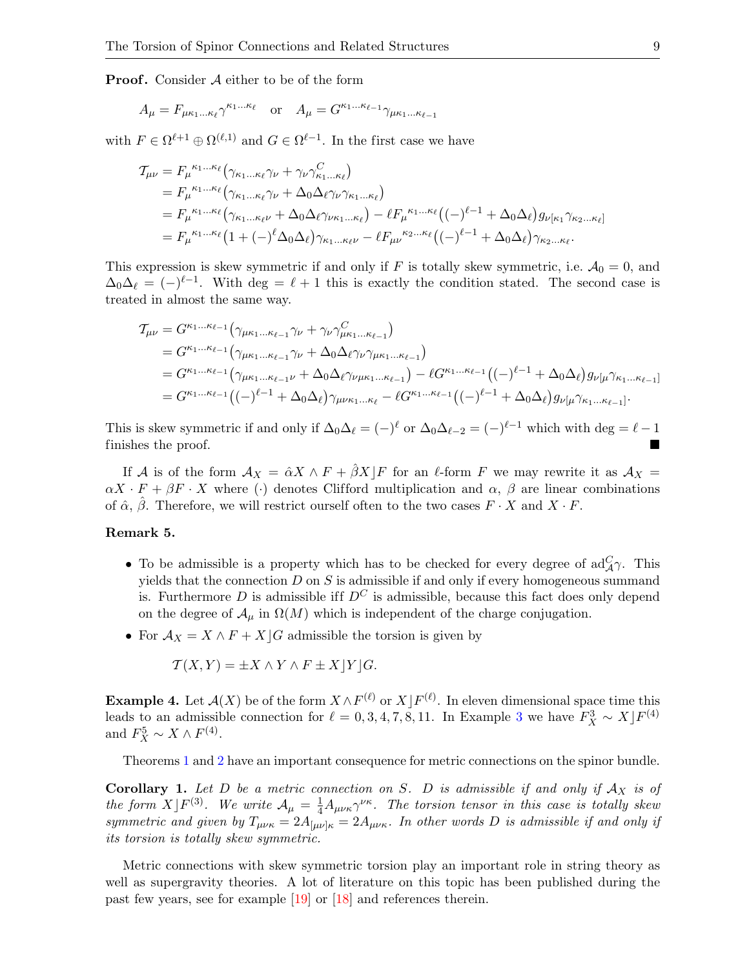**Proof.** Consider  $A$  either to be of the form

$$
A_{\mu} = F_{\mu\kappa_1...\kappa_\ell} \gamma^{\kappa_1...\kappa_\ell} \quad \text{or} \quad A_{\mu} = G^{\kappa_1...\kappa_{\ell-1}} \gamma_{\mu\kappa_1...\kappa_{\ell-1}}
$$

with  $F \in \Omega^{\ell+1} \oplus \Omega^{(\ell,1)}$  and  $G \in \Omega^{\ell-1}$ . In the first case we have

$$
\begin{split} \mathcal{T}_{\mu\nu} &= F_{\mu}{}^{\kappa_{1}\dots\kappa_{\ell}} \left( \gamma_{\kappa_{1}\dots\kappa_{\ell}} \gamma_{\nu} + \gamma_{\nu} \gamma_{\kappa_{1}\dots\kappa_{\ell}}^{C} \right) \\ &= F_{\mu}{}^{\kappa_{1}\dots\kappa_{\ell}} \left( \gamma_{\kappa_{1}\dots\kappa_{\ell}} \gamma_{\nu} + \Delta_{0} \Delta_{\ell} \gamma_{\nu} \gamma_{\kappa_{1}\dots\kappa_{\ell}} \right) \\ &= F_{\mu}{}^{\kappa_{1}\dots\kappa_{\ell}} \left( \gamma_{\kappa_{1}\dots\kappa_{\ell}\nu} + \Delta_{0} \Delta_{\ell} \gamma_{\nu\kappa_{1}\dots\kappa_{\ell}} \right) - \ell F_{\mu}{}^{\kappa_{1}\dots\kappa_{\ell}} \left( (-)^{\ell-1} + \Delta_{0} \Delta_{\ell} \right) g_{\nu[\kappa_{1}} \gamma_{\kappa_{2}\dots\kappa_{\ell}]} \\ &= F_{\mu}{}^{\kappa_{1}\dots\kappa_{\ell}} \left( 1 + (-)^{\ell} \Delta_{0} \Delta_{\ell} \right) \gamma_{\kappa_{1}\dots\kappa_{\ell}\nu} - \ell F_{\mu\nu}{}^{\kappa_{2}\dots\kappa_{\ell}} \left( (-)^{\ell-1} + \Delta_{0} \Delta_{\ell} \right) \gamma_{\kappa_{2}\dots\kappa_{\ell}}. \end{split}
$$

This expression is skew symmetric if and only if F is totally skew symmetric, i.e.  $A_0 = 0$ , and  $\Delta_0\Delta_\ell = (-)^{\ell-1}$ . With deg =  $\ell + 1$  this is exactly the condition stated. The second case is treated in almost the same way.

$$
T_{\mu\nu} = G^{\kappa_1 \dots \kappa_{\ell-1}} (\gamma_{\mu\kappa_1 \dots \kappa_{\ell-1}} \gamma_{\nu} + \gamma_{\nu} \gamma^C_{\mu\kappa_1 \dots \kappa_{\ell-1}})
$$
  
\n
$$
= G^{\kappa_1 \dots \kappa_{\ell-1}} (\gamma_{\mu\kappa_1 \dots \kappa_{\ell-1}} \gamma_{\nu} + \Delta_0 \Delta_{\ell} \gamma_{\nu} \gamma_{\mu\kappa_1 \dots \kappa_{\ell-1}})
$$
  
\n
$$
= G^{\kappa_1 \dots \kappa_{\ell-1}} (\gamma_{\mu\kappa_1 \dots \kappa_{\ell-1} \nu} + \Delta_0 \Delta_{\ell} \gamma_{\nu \mu\kappa_1 \dots \kappa_{\ell-1}}) - \ell G^{\kappa_1 \dots \kappa_{\ell-1}} ((-)^{\ell-1} + \Delta_0 \Delta_{\ell}) g_{\nu [\mu} \gamma_{\kappa_1 \dots \kappa_{\ell-1}]}]
$$
  
\n
$$
= G^{\kappa_1 \dots \kappa_{\ell-1}} ((-)^{\ell-1} + \Delta_0 \Delta_{\ell}) \gamma_{\mu \nu \kappa_1 \dots \kappa_{\ell}} - \ell G^{\kappa_1 \dots \kappa_{\ell-1}} ((-)^{\ell-1} + \Delta_0 \Delta_{\ell}) g_{\nu [\mu} \gamma_{\kappa_1 \dots \kappa_{\ell-1}]}.
$$

This is skew symmetric if and only if  $\Delta_0\Delta_\ell = (-)^\ell$  or  $\Delta_0\Delta_{\ell-2} = (-)^{\ell-1}$  which with deg =  $\ell-1$ finishes the proof.

If A is of the form  $A_X = \hat{\alpha} X \wedge F + \hat{\beta} X/F$  for an  $\ell$ -form F we may rewrite it as  $A_X =$  $\alpha X \cdot F + \beta F \cdot X$  where (·) denotes Clifford multiplication and  $\alpha$ ,  $\beta$  are linear combinations of  $\hat{\alpha}$ ,  $\hat{\beta}$ . Therefore, we will restrict ourself often to the two cases  $F \cdot X$  and  $X \cdot F$ .

### Remark 5.

- To be admissible is a property which has to be checked for every degree of  $\mathrm{ad}_{\mathcal{A}}^C \gamma$ . This yields that the connection  $D$  on  $S$  is admissible if and only if every homogeneous summand is. Furthermore D is admissible if  $D^C$  is admissible, because this fact does only depend on the degree of  $\mathcal{A}_{\mu}$  in  $\Omega(M)$  which is independent of the charge conjugation.
- For  $\mathcal{A}_X = X \wedge F + X \mid G$  admissible the torsion is given by

$$
\mathcal{T}(X,Y) = \pm X \wedge Y \wedge F \pm X \, |Y| \, G.
$$

**Example 4.** Let  $\mathcal{A}(X)$  be of the form  $X \wedge F^{(\ell)}$  or  $X \mid F^{(\ell)}$ . In eleven dimensional space time this leads to an admissible connection for  $\ell = 0, 3, 4, 7, 8, 11$  $\ell = 0, 3, 4, 7, 8, 11$  $\ell = 0, 3, 4, 7, 8, 11$ . In Example 3 we have  $F_X^3 \sim X \cdot F^{(4)}$ and  $F_X^5 \sim X \wedge F^{(4)}$ .

Theorems [1](#page-7-1) and [2](#page-7-0) have an important consequence for metric connections on the spinor bundle.

**Corollary 1.** Let D be a metric connection on S. D is admissible if and only if  $A_X$  is of the form  $X$ ] $F^{(3)}$ . We write  $\mathcal{A}_{\mu} = \frac{1}{4}A_{\mu\nu\kappa}\gamma^{\nu\kappa}$ . The torsion tensor in this case is totally skew symmetric and given by  $T_{\mu\nu\kappa} = 2A_{\mu\nu\kappa} = 2A_{\mu\nu\kappa}$ . In other words D is admissible if and only if its torsion is totally skew symmetric.

Metric connections with skew symmetric torsion play an important role in string theory as well as supergravity theories. A lot of literature on this topic has been published during the past few years, see for example [\[19\]](#page-26-10) or [\[18\]](#page-26-0) and references therein.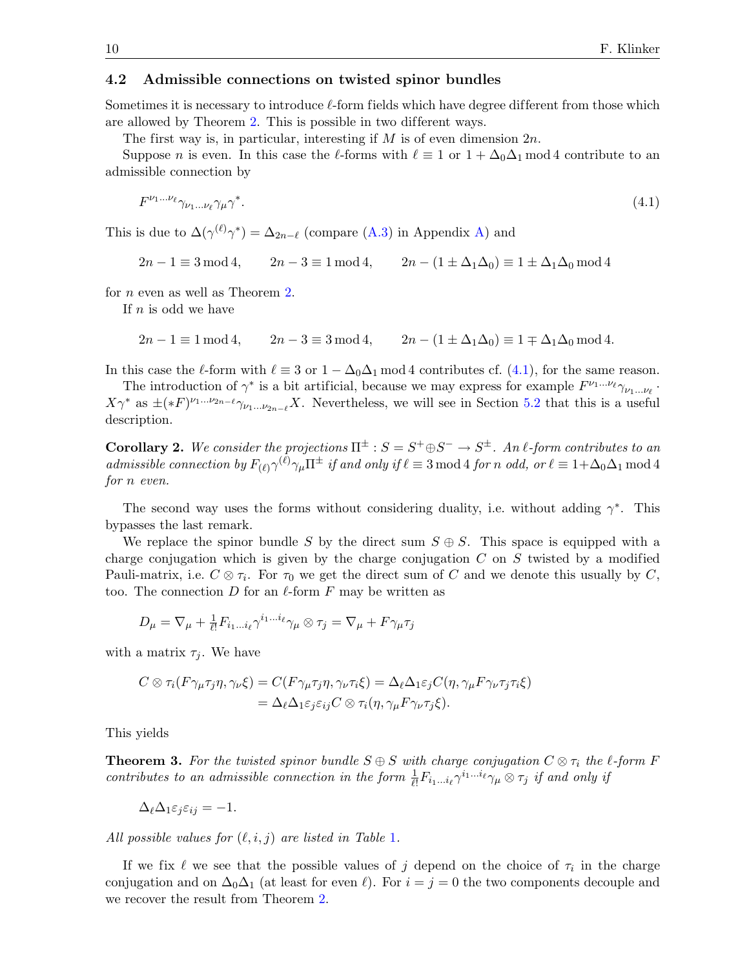### 4.2 Admissible connections on twisted spinor bundles

Sometimes it is necessary to introduce  $\ell$ -form fields which have degree different from those which are allowed by Theorem [2.](#page-7-0) This is possible in two different ways.

The first way is, in particular, interesting if  $M$  is of even dimension  $2n$ .

Suppose n is even. In this case the  $\ell$ -forms with  $\ell \equiv 1$  or  $1 + \Delta_0\Delta_1$  mod 4 contribute to an admissible connection by

<span id="page-9-1"></span>
$$
F^{\nu_1...\nu_\ell}\gamma_{\nu_1...\nu_\ell}\gamma_\mu\gamma^*.\tag{4.1}
$$

This is due to  $\Delta(\gamma^{(\ell)}\gamma^*) = \Delta_{2n-\ell}$  (compare [\(A.3\)](#page-25-0) in Appendix [A\)](#page-24-0) and

$$
2n - 1 \equiv 3 \mod 4, \qquad 2n - 3 \equiv 1 \mod 4, \qquad 2n - (1 \pm \Delta_1 \Delta_0) \equiv 1 \pm \Delta_1 \Delta_0 \mod 4
$$

for n even as well as Theorem [2.](#page-7-0)

If  $n$  is odd we have

 $2n - 1 \equiv 1 \mod 4$ ,  $2n - 3 \equiv 3 \mod 4$ ,  $2n - (1 \pm \Delta_1 \Delta_0) \equiv 1 \mp \Delta_1 \Delta_0 \mod 4$ .

In this case the  $\ell$ -form with  $\ell \equiv 3$  or  $1 - \Delta_0\Delta_1 \mod 4$  contributes cf. [\(4.1\)](#page-9-1), for the same reason.

The introduction of  $\gamma^*$  is a bit artificial, because we may express for example  $F^{\nu_1...\nu_\ell}\gamma_{\nu_1...\nu_\ell}$ .  $X\gamma^*$  as  $\pm(*F)^{\nu_1...\nu_{2n-\ell}}\gamma_{\nu_1...\nu_{2n-\ell}}X$ . Nevertheless, we will see in Section [5.2](#page-16-0) that this is a useful description.

**Corollary 2.** We consider the projections  $\Pi^{\pm}$  :  $S = S^+ \oplus S^- \rightarrow S^{\pm}$ . An l-form contributes to an admissible connection by  $F_{(\ell)}\gamma^{(\ell)}\gamma_\mu\Pi^{\pm}$  if and only if  $\ell \equiv 3 \mod 4$  for n odd, or  $\ell \equiv 1+\Delta_0\Delta_1 \mod 4$ for n even.

The second way uses the forms without considering duality, i.e. without adding  $\gamma^*$ . This bypasses the last remark.

We replace the spinor bundle S by the direct sum  $S \oplus S$ . This space is equipped with a charge conjugation which is given by the charge conjugation  $C$  on  $S$  twisted by a modified Pauli-matrix, i.e.  $C \otimes \tau_i$ . For  $\tau_0$  we get the direct sum of C and we denote this usually by C, too. The connection  $D$  for an  $\ell$ -form  $F$  may be written as

$$
D_{\mu} = \nabla_{\mu} + \frac{1}{\ell!} F_{i_1 \dots i_\ell} \gamma^{i_1 \dots i_\ell} \gamma_{\mu} \otimes \tau_j = \nabla_{\mu} + F \gamma_{\mu} \tau_j
$$

with a matrix  $\tau_i$ . We have

$$
C \otimes \tau_i(F\gamma_\mu\tau_j\eta, \gamma_\nu\xi) = C(F\gamma_\mu\tau_j\eta, \gamma_\nu\tau_i\xi) = \Delta_\ell \Delta_1 \varepsilon_j C(\eta, \gamma_\mu F\gamma_\nu\tau_j\tau_i\xi)
$$
  
=  $\Delta_\ell \Delta_1 \varepsilon_j \varepsilon_{ij} C \otimes \tau_i(\eta, \gamma_\mu F\gamma_\nu\tau_j\xi).$ 

<span id="page-9-0"></span>This yields

**Theorem 3.** For the twisted spinor bundle  $S \oplus S$  with charge conjugation  $C \otimes \tau_i$  the  $\ell$ -form F contributes to an admissible connection in the form  $\frac{1}{\ell!}F_{i_1...i_\ell}\gamma^{i_1...i_\ell}\gamma_\mu\otimes\tau_j$  if and only if

$$
\Delta_{\ell} \Delta_1 \varepsilon_j \varepsilon_{ij} = -1.
$$

All possible values for  $(\ell, i, j)$  are listed in Table [1](#page-10-0).

If we fix  $\ell$  we see that the possible values of j depend on the choice of  $\tau_i$  in the charge conjugation and on  $\Delta_0\Delta_1$  (at least for even  $\ell$ ). For  $i = j = 0$  the two components decouple and we recover the result from Theorem [2.](#page-7-0)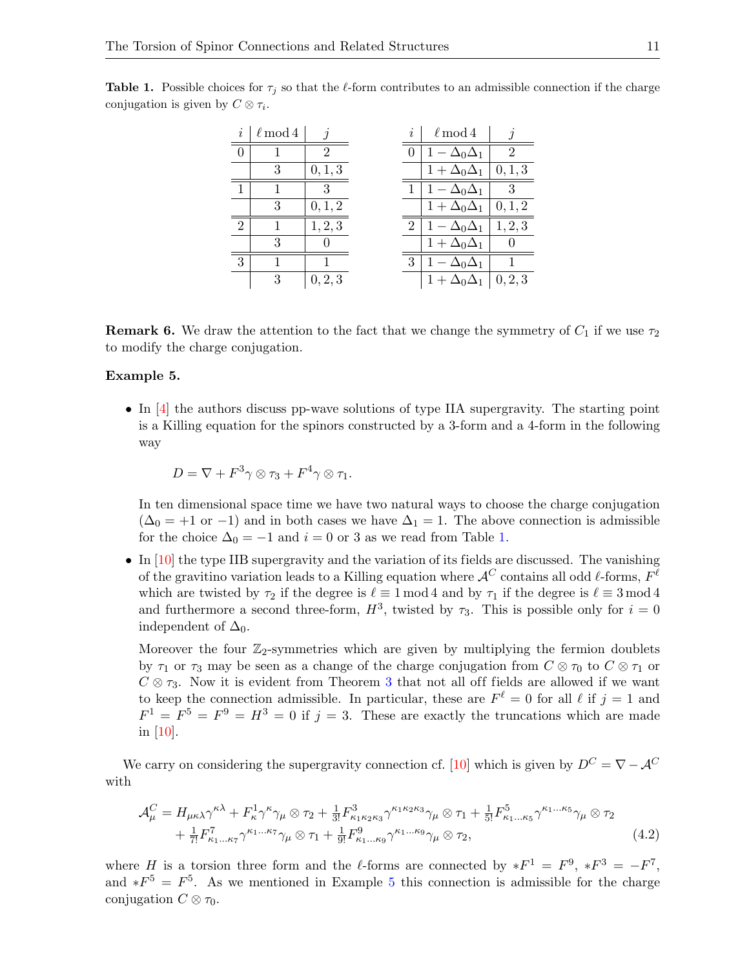| i              | $\ell \mod 4$ | İ              | $\boldsymbol{\eta}$ | $\ell \mod 4$           |                |
|----------------|---------------|----------------|---------------------|-------------------------|----------------|
|                |               | $\mathfrak{D}$ |                     | $-\Delta_0\Delta_1$     | $\overline{2}$ |
|                | 3             | 0, 1, 3        |                     | $1 + \Delta_0 \Delta_1$ | 0, 1, 3        |
| $\mathbf{1}$   |               | 3              |                     | $1 - \Delta_0 \Delta_1$ | 3              |
|                | 3             | 0, 1, 2        |                     | $1 + \Delta_0 \Delta_1$ | 0, 1, 2        |
| $\overline{2}$ |               | 1, 2, 3        | $\overline{2}$      | $-\Delta_0\Delta_1$     | 1, 2, 3        |
|                | 3             |                |                     | $1 + \Delta_0 \Delta_1$ |                |
| 3              |               |                | 3                   | $1 - \Delta_0 \Delta_1$ |                |
|                | 3             | 0, 2, 3        |                     | $1 + \Delta_0 \Delta_1$ | 0, 2, 3        |

<span id="page-10-0"></span>**Table 1.** Possible choices for  $\tau_j$  so that the  $\ell$ -form contributes to an admissible connection if the charge conjugation is given by  $C \otimes \tau_i$ .

**Remark 6.** We draw the attention to the fact that we change the symmetry of  $C_1$  if we use  $\tau_2$ to modify the charge conjugation.

#### <span id="page-10-1"></span>Example 5.

• In [\[4\]](#page-26-11) the authors discuss pp-wave solutions of type IIA supergravity. The starting point is a Killing equation for the spinors constructed by a 3-form and a 4-form in the following way

$$
D=\nabla+F^3\gamma\otimes\tau_3+F^4\gamma\otimes\tau_1.
$$

In ten dimensional space time we have two natural ways to choose the charge conjugation  $(\Delta_0 = +1 \text{ or } -1)$  and in both cases we have  $\Delta_1 = 1$ . The above connection is admissible for the choice  $\Delta_0 = -1$  and  $i = 0$  or 3 as we read from Table [1.](#page-10-0)

 $\bullet$  In [\[10\]](#page-26-12) the type IIB supergravity and the variation of its fields are discussed. The vanishing of the gravitino variation leads to a Killing equation where  $\mathcal{A}^C$  contains all odd  $\ell$ -forms,  $F^\ell$ which are twisted by  $\tau_2$  if the degree is  $\ell \equiv 1 \mod 4$  and by  $\tau_1$  if the degree is  $\ell \equiv 3 \mod 4$ and furthermore a second three-form,  $H^3$ , twisted by  $\tau_3$ . This is possible only for  $i = 0$ independent of  $\Delta_0$ .

Moreover the four  $\mathbb{Z}_2$ -symmetries which are given by multiplying the fermion doublets by  $\tau_1$  or  $\tau_3$  may be seen as a change of the charge conjugation from  $C \otimes \tau_0$  to  $C \otimes \tau_1$  or  $C \otimes \tau_3$  $C \otimes \tau_3$ . Now it is evident from Theorem 3 that not all off fields are allowed if we want to keep the connection admissible. In particular, these are  $F^{\ell} = 0$  for all  $\ell$  if  $j = 1$  and  $F^1 = F^5 = F^9 = H^3 = 0$  if  $j = 3$ . These are exactly the truncations which are made in [\[10\]](#page-26-12).

We carry on considering the supergravity connection cf. [\[10\]](#page-26-12) which is given by  $D^C = \nabla - \mathcal{A}^C$ with

<span id="page-10-2"></span>
$$
\mathcal{A}_{\mu}^{C} = H_{\mu\kappa\lambda}\gamma^{\kappa\lambda} + F_{\kappa}^{1}\gamma^{\kappa}\gamma_{\mu}\otimes\tau_{2} + \frac{1}{3!}F_{\kappa_{1}\kappa_{2}\kappa_{3}}^{3}\gamma^{\kappa_{1}\kappa_{2}\kappa_{3}}\gamma_{\mu}\otimes\tau_{1} + \frac{1}{5!}F_{\kappa_{1}\dots\kappa_{5}}^{5}\gamma^{\kappa_{1}\dots\kappa_{5}}\gamma_{\mu}\otimes\tau_{2} + \frac{1}{7!}F_{\kappa_{1}\dots\kappa_{7}}^{7}\gamma^{\kappa_{1}\dots\kappa_{7}}\gamma_{\mu}\otimes\tau_{1} + \frac{1}{9!}F_{\kappa_{1}\dots\kappa_{9}}^{9}\gamma^{\kappa_{1}\dots\kappa_{9}}\gamma_{\mu}\otimes\tau_{2},
$$
\n(4.2)

where H is a torsion three form and the  $\ell$ -forms are connected by  $*F^1 = F^9$ ,  $*F^3 = -F^7$ , and  $*F^5 = F^5$  $*F^5 = F^5$  $*F^5 = F^5$ . As we mentioned in Example 5 this connection is admissible for the charge conjugation  $C \otimes \tau_0$ .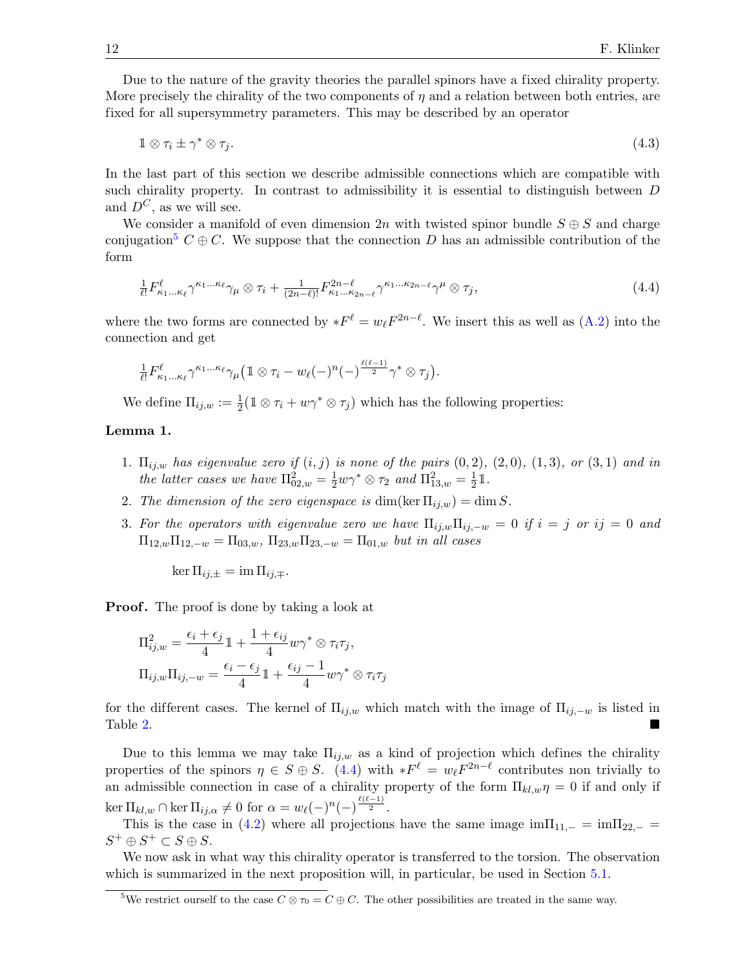Due to the nature of the gravity theories the parallel spinors have a fixed chirality property. More precisely the chirality of the two components of  $\eta$  and a relation between both entries, are fixed for all supersymmetry parameters. This may be described by an operator

<span id="page-11-2"></span>
$$
1 \otimes \tau_i \pm \gamma^* \otimes \tau_j. \tag{4.3}
$$

In the last part of this section we describe admissible connections which are compatible with such chirality property. In contrast to admissibility it is essential to distinguish between D and  $D^C$ , as we will see.

We consider a manifold of even dimension 2n with twisted spinor bundle  $S \oplus S$  and charge conjugation<sup>[5](#page-11-0)</sup>  $C \oplus C$ . We suppose that the connection D has an admissible contribution of the form

<span id="page-11-1"></span>
$$
\frac{1}{\ell!} F_{\kappa_1 \dots \kappa_\ell}^{\ell} \gamma^{\kappa_1 \dots \kappa_\ell} \gamma_\mu \otimes \tau_i + \frac{1}{(2n-\ell)!} F_{\kappa_1 \dots \kappa_{2n-\ell}}^{2n-\ell} \gamma^{\kappa_1 \dots \kappa_{2n-\ell}} \gamma^\mu \otimes \tau_j,
$$
\n(4.4)

where the two forms are connected by  $*F^{\ell} = w_{\ell} F^{2n-\ell}$ . We insert this as well as [\(A.2\)](#page-25-1) into the connection and get

$$
\frac{1}{\ell!} F_{\kappa_1...\kappa_\ell}^\ell \gamma^{\kappa_1...\kappa_\ell} \gamma_\mu \big(1 \otimes \tau_i - w_\ell(-)^n (-)^{\frac{\ell(\ell-1)}{2}} \gamma^* \otimes \tau_j \big).
$$

We define  $\Pi_{ij,w} := \frac{1}{2} (\mathbb{1} \otimes \tau_i + w\gamma^* \otimes \tau_j)$  which has the following properties:

### Lemma 1.

- 1.  $\Pi_{ij,w}$  has eigenvalue zero if  $(i, j)$  is none of the pairs  $(0, 2)$ ,  $(2, 0)$ ,  $(1, 3)$ , or  $(3, 1)$  and in the latter cases we have  $\Pi_{02,w}^2 = \frac{1}{2} w \gamma^* \otimes \tau_2$  and  $\Pi_{13,w}^2 = \frac{1}{2}$  $rac{1}{2}$  1.
- 2. The dimension of the zero eigenspace is dim(ker  $\Pi_{i,j,w}$ ) = dim S.
- 3. For the operators with eigenvalue zero we have  $\Pi_{ij,w}\Pi_{ij,-w}=0$  if  $i=j$  or  $ij=0$  and  $\Pi_{12,w}\Pi_{12,-w} = \Pi_{03,w}, \Pi_{23,w}\Pi_{23,-w} = \Pi_{01,w}$  but in all cases

 $\ker \Pi_{ij,\pm} = \operatorname{im} \Pi_{ij,\mp}.$ 

**Proof.** The proof is done by taking a look at

$$
\Pi_{ij,w}^2 = \frac{\epsilon_i + \epsilon_j}{4} \mathbb{1} + \frac{1 + \epsilon_{ij}}{4} w \gamma^* \otimes \tau_i \tau_j,
$$
  

$$
\Pi_{ij,w} \Pi_{ij,-w} = \frac{\epsilon_i - \epsilon_j}{4} \mathbb{1} + \frac{\epsilon_{ij} - 1}{4} w \gamma^* \otimes \tau_i \tau_j
$$

for the different cases. The kernel of  $\Pi_{ij,w}$  which match with the image of  $\Pi_{ij,-w}$  is listed in Table [2.](#page-12-1)

Due to this lemma we may take  $\Pi_{ij,w}$  as a kind of projection which defines the chirality properties of the spinors  $\eta \in S \oplus S$ . [\(4.4\)](#page-11-1) with  $*F^{\ell} = w_{\ell} F^{2n-\ell}$  contributes non trivially to an admissible connection in case of a chirality property of the form  $\Pi_{kl,w}\eta = 0$  if and only if  $\ker \Pi_{kl,w} \cap \ker \Pi_{ij,\alpha} \neq 0 \text{ for } \alpha = w_{\ell}(-)^n (-)^{\frac{\ell(\ell-1)}{2}}.$ 

This is the case in [\(4.2\)](#page-10-2) where all projections have the same image  $\text{im}\Pi_{11,-} = \text{im}\Pi_{22,-}$  $S^+ \oplus S^+ \subset S \oplus S.$ 

We now ask in what way this chirality operator is transferred to the torsion. The observation which is summarized in the next proposition will, in particular, be used in Section [5.1.](#page-14-1)

<span id="page-11-3"></span><span id="page-11-0"></span><sup>&</sup>lt;sup>5</sup>We restrict ourself to the case  $C \otimes \tau_0 = C \oplus C$ . The other possibilities are treated in the same way.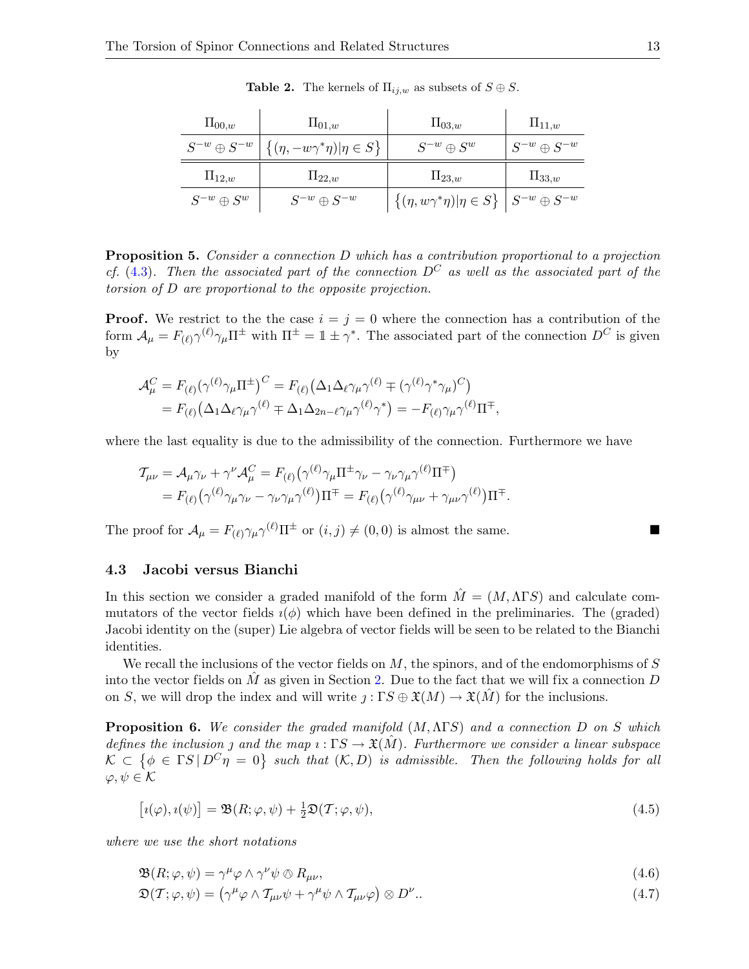| $\Pi_{00,w}$                                                      | $\Pi_{01,w}$           | $\Pi_{03,w}$                                                        | $\Pi_{11,w}$           |
|-------------------------------------------------------------------|------------------------|---------------------------------------------------------------------|------------------------|
| $S^{-w} \oplus S^{-w} \mid \{(\eta, -w\gamma^*\eta) \eta \in S\}$ |                        | $S^{-w} \oplus S^w$                                                 | $S^{-w} \oplus S^{-w}$ |
| $\Pi_{12,w}$                                                      | $\Pi_{22,w}$           | $\Pi_{23,w}$                                                        | $\Pi_{33,w}$           |
| $S^{-w}\oplus S^w$                                                | $S^{-w} \oplus S^{-w}$ | $\{( \eta, w \gamma^* \eta)   \eta \in S \}   S^{-w} \oplus S^{-w}$ |                        |

<span id="page-12-1"></span>**Table 2.** The kernels of  $\Pi_{ij,w}$  as subsets of  $S \oplus S$ .

Proposition 5. Consider a connection D which has a contribution proportional to a projection cf. [\(4.3\)](#page-11-2). Then the associated part of the connection  $D^C$  as well as the associated part of the torsion of D are proportional to the opposite projection.

**Proof.** We restrict to the the case  $i = j = 0$  where the connection has a contribution of the form  $\mathcal{A}_{\mu} = F_{(\ell)} \gamma^{(\ell)} \gamma_{\mu} \Pi^{\pm}$  with  $\Pi^{\pm} = \mathbb{1} \pm \gamma^*$ . The associated part of the connection  $D^C$  is given by

$$
\mathcal{A}^C_\mu = F_{(\ell)}(\gamma^{(\ell)}\gamma_\mu\Pi^{\pm})^C = F_{(\ell)}(\Delta_1\Delta_\ell\gamma_\mu\gamma^{(\ell)} \mp (\gamma^{(\ell)}\gamma^*\gamma_\mu)^C) \n= F_{(\ell)}(\Delta_1\Delta_\ell\gamma_\mu\gamma^{(\ell)} \mp \Delta_1\Delta_{2n-\ell}\gamma_\mu\gamma^{(\ell)}\gamma^*) = -F_{(\ell)}\gamma_\mu\gamma^{(\ell)}\Pi^{\mp},
$$

where the last equality is due to the admissibility of the connection. Furthermore we have

$$
\mathcal{T}_{\mu\nu} = \mathcal{A}_{\mu}\gamma_{\nu} + \gamma^{\nu}\mathcal{A}_{\mu}^{C} = F_{(\ell)}(\gamma^{(\ell)}\gamma_{\mu}\Pi^{\pm}\gamma_{\nu} - \gamma_{\nu}\gamma_{\mu}\gamma^{(\ell)}\Pi^{\mp}) \n= F_{(\ell)}(\gamma^{(\ell)}\gamma_{\mu}\gamma_{\nu} - \gamma_{\nu}\gamma_{\mu}\gamma^{(\ell)})\Pi^{\mp} = F_{(\ell)}(\gamma^{(\ell)}\gamma_{\mu\nu} + \gamma_{\mu\nu}\gamma^{(\ell)})\Pi^{\mp}.
$$

The proof for  $\mathcal{A}_{\mu} = F_{(\ell)} \gamma_{\mu} \gamma^{(\ell)} \Pi^{\pm}$  or  $(i, j) \neq (0, 0)$  is almost the same.

#### <span id="page-12-0"></span>4.3 Jacobi versus Bianchi

In this section we consider a graded manifold of the form  $\hat{M} = (M, \Lambda \Gamma S)$  and calculate commutators of the vector fields  $i(\phi)$  which have been defined in the preliminaries. The (graded) Jacobi identity on the (super) Lie algebra of vector fields will be seen to be related to the Bianchi identities.

We recall the inclusions of the vector fields on  $M$ , the spinors, and of the endomorphisms of  $S$ into the vector fields on  $\tilde{M}$  as given in Section [2.](#page-1-3) Due to the fact that we will fix a connection D on S, we will drop the index and will write  $j: \Gamma S \oplus \mathfrak{X}(M) \to \mathfrak{X}(M)$  for the inclusions.

**Proposition 6.** We consider the graded manifold  $(M, \Lambda \Gamma S)$  and a connection D on S which defines the inclusion *f* and the map  $\iota : \Gamma S \to \mathfrak{X}(M)$ . Furthermore we consider a linear subspace  $\mathcal{K} \subset \{ \phi \in \Gamma S | D^C \eta = 0 \}$  such that  $(\mathcal{K}, D)$  is admissible. Then the following holds for all  $\varphi, \psi \in \mathcal{K}$ 

<span id="page-12-2"></span>
$$
[i(\varphi), i(\psi)] = \mathfrak{B}(R; \varphi, \psi) + \frac{1}{2}\mathfrak{D}(\mathcal{T}; \varphi, \psi), \qquad (4.5)
$$

where we use the short notations

<span id="page-12-3"></span>
$$
\mathfrak{B}(R; \varphi, \psi) = \gamma^{\mu} \varphi \wedge \gamma^{\nu} \psi \otimes R_{\mu\nu},\tag{4.6}
$$

$$
\mathfrak{D}(\mathcal{T}; \varphi, \psi) = (\gamma^{\mu} \varphi \wedge \mathcal{T}_{\mu\nu} \psi + \gamma^{\mu} \psi \wedge \mathcal{T}_{\mu\nu} \varphi) \otimes D^{\nu}.
$$
\n(4.7)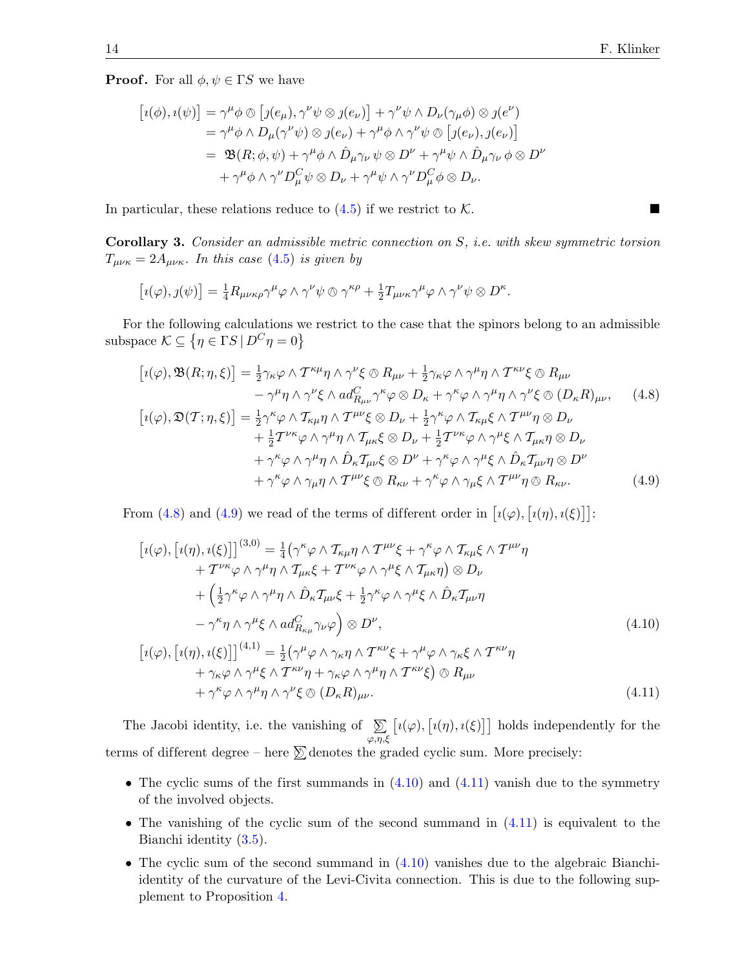**Proof.** For all  $\phi, \psi \in \Gamma S$  we have

$$
[i(\phi), i(\psi)] = \gamma^{\mu} \phi \otimes [j(e_{\mu}), \gamma^{\nu} \psi \otimes j(e_{\nu})] + \gamma^{\nu} \psi \wedge D_{\nu}(\gamma_{\mu} \phi) \otimes j(e^{\nu})
$$
  

$$
= \gamma^{\mu} \phi \wedge D_{\mu}(\gamma^{\nu} \psi) \otimes j(e_{\nu}) + \gamma^{\mu} \phi \wedge \gamma^{\nu} \psi \otimes [j(e_{\nu}), j(e_{\nu})]
$$
  

$$
= \mathfrak{B}(R; \phi, \psi) + \gamma^{\mu} \phi \wedge \hat{D}_{\mu} \gamma_{\nu} \psi \otimes D^{\nu} + \gamma^{\mu} \psi \wedge \hat{D}_{\mu} \gamma_{\nu} \phi \otimes D^{\nu}
$$
  

$$
+ \gamma^{\mu} \phi \wedge \gamma^{\nu} D_{\mu}^{C} \psi \otimes D_{\nu} + \gamma^{\mu} \psi \wedge \gamma^{\nu} D_{\mu}^{C} \phi \otimes D_{\nu}.
$$

In particular, these relations reduce to  $(4.5)$  if we restrict to K.

Corollary 3. Consider an admissible metric connection on S, i.e. with skew symmetric torsion  $T_{\mu\nu\kappa} = 2A_{\mu\nu\kappa}$ . In this case [\(4.5\)](#page-12-2) is given by

$$
[i(\varphi),j(\psi)]=\frac{1}{4}R_{\mu\nu\kappa\rho}\gamma^{\mu}\varphi\wedge\gamma^{\nu}\psi\otimes\gamma^{\kappa\rho}+\frac{1}{2}T_{\mu\nu\kappa}\gamma^{\mu}\varphi\wedge\gamma^{\nu}\psi\otimes D^{\kappa}.
$$

For the following calculations we restrict to the case that the spinors belong to an admissible subspace  $\mathcal{K} \subseteq \{ \eta \in \Gamma S \mid D^C \eta = 0 \}$ 

<span id="page-13-0"></span>
$$
[i(\varphi), \mathfrak{B}(R; \eta, \xi)] = \frac{1}{2} \gamma_{\kappa} \varphi \wedge T^{\kappa \mu} \eta \wedge \gamma^{\nu} \xi \otimes R_{\mu\nu} + \frac{1}{2} \gamma_{\kappa} \varphi \wedge \gamma^{\mu} \eta \wedge T^{\kappa \nu} \xi \otimes R_{\mu\nu} - \gamma^{\mu} \eta \wedge \gamma^{\nu} \xi \wedge ad_{R_{\mu\nu}}^{C} \gamma^{\kappa} \varphi \otimes D_{\kappa} + \gamma^{\kappa} \varphi \wedge \gamma^{\mu} \eta \wedge \gamma^{\nu} \xi \otimes (D_{\kappa} R)_{\mu\nu}, \qquad (4.8)
$$

$$
[i(\varphi), \mathfrak{D}(T; \eta, \xi)] = \frac{1}{2} \gamma^{\kappa} \varphi \wedge T_{\kappa\mu} \eta \wedge T^{\mu\nu} \xi \otimes D_{\nu} + \frac{1}{2} \gamma^{\kappa} \varphi \wedge T_{\kappa\mu} \xi \wedge T^{\mu\nu} \eta \otimes D_{\nu} + \frac{1}{2} T^{\nu\kappa} \varphi \wedge \gamma^{\mu} \eta \wedge T_{\mu\kappa} \xi \otimes D_{\nu} + \frac{1}{2} T^{\nu\kappa} \varphi \wedge \gamma^{\mu} \xi \wedge T_{\mu\kappa} \eta \otimes D_{\nu} + \gamma^{\kappa} \varphi \wedge \gamma^{\mu} \eta \wedge \hat{D}_{\kappa} T_{\mu\nu} \xi \otimes D^{\nu} + \gamma^{\kappa} \varphi \wedge \gamma^{\mu} \xi \wedge \hat{D}_{\kappa} T_{\mu\nu} \eta \otimes D^{\nu} + \gamma^{\kappa} \varphi \wedge \gamma_{\mu} \eta \wedge T^{\mu\nu} \xi \otimes R_{\kappa\nu} + \gamma^{\kappa} \varphi \wedge \gamma_{\mu} \xi \wedge T^{\mu\nu} \eta \otimes R_{\kappa\nu}.
$$
(4.9)

From [\(4.8\)](#page-13-0) and [\(4.9\)](#page-13-1) we read of the terms of different order in  $\lceil i(\varphi), i(\eta), i(\xi) \rceil$ :

<span id="page-13-3"></span><span id="page-13-2"></span><span id="page-13-1"></span>
$$
[i(\varphi), [i(\eta), i(\xi)]]^{(3,0)} = \frac{1}{4} (\gamma^{\kappa} \varphi \wedge \mathcal{T}_{\kappa\mu} \eta \wedge \mathcal{T}^{\mu\nu}\xi + \gamma^{\kappa} \varphi \wedge \mathcal{T}_{\kappa\mu}\xi \wedge \mathcal{T}^{\mu\nu}\eta + \mathcal{T}^{\nu\kappa} \varphi \wedge \gamma^{\mu} \eta \wedge \mathcal{T}_{\mu\kappa}\xi + \mathcal{T}^{\nu\kappa} \varphi \wedge \gamma^{\mu}\xi \wedge \mathcal{T}_{\mu\kappa}\eta) \otimes D_{\nu} + \left(\frac{1}{2} \gamma^{\kappa} \varphi \wedge \gamma^{\mu} \eta \wedge \hat{D}_{\kappa} \mathcal{T}_{\mu\nu}\xi + \frac{1}{2} \gamma^{\kappa} \varphi \wedge \gamma^{\mu}\xi \wedge \hat{D}_{\kappa} \mathcal{T}_{\mu\nu}\eta -\gamma^{\kappa} \eta \wedge \gamma^{\mu}\xi \wedge ad_{R_{\kappa\mu}}^{C} \gamma_{\nu}\varphi\right) \otimes D^{\nu}, [i(\varphi), [i(\eta), i(\xi)]]^{(4,1)} = \frac{1}{2} (\gamma^{\mu} \varphi \wedge \gamma_{\kappa}\eta \wedge \mathcal{T}^{\kappa\nu}\xi + \gamma^{\mu} \varphi \wedge \gamma_{\kappa}\xi \wedge \mathcal{T}^{\kappa\nu}\eta + \gamma_{\kappa} \varphi \wedge \gamma^{\mu}\xi \wedge \mathcal{T}^{\kappa\nu}\eta + \gamma_{\kappa} \varphi \wedge \gamma^{\mu} \eta \wedge \mathcal{T}^{\kappa\nu}\xi) \otimes R_{\mu\nu} + \gamma^{\kappa} \varphi \wedge \gamma^{\mu} \eta \wedge \gamma^{\nu}\xi \otimes (D_{\kappa}R)_{\mu\nu}.
$$
 (4.11)

The Jacobi identity, i.e. the vanishing of  $\delta$  $\varphi, \eta, \xi$  $[i(\varphi), [i(\eta), i(\xi)]]$  holds independently for the terms of different degree – here  $\sum$  denotes the graded cyclic sum. More precisely:

- The cyclic sums of the first summands in  $(4.10)$  and  $(4.11)$  vanish due to the symmetry of the involved objects.
- The vanishing of the cyclic sum of the second summand in  $(4.11)$  is equivalent to the Bianchi identity [\(3.5\)](#page-5-3).
- The cyclic sum of the second summand in [\(4.10\)](#page-13-2) vanishes due to the algebraic Bianchiidentity of the curvature of the Levi-Civita connection. This is due to the following supplement to Proposition [4.](#page-5-0)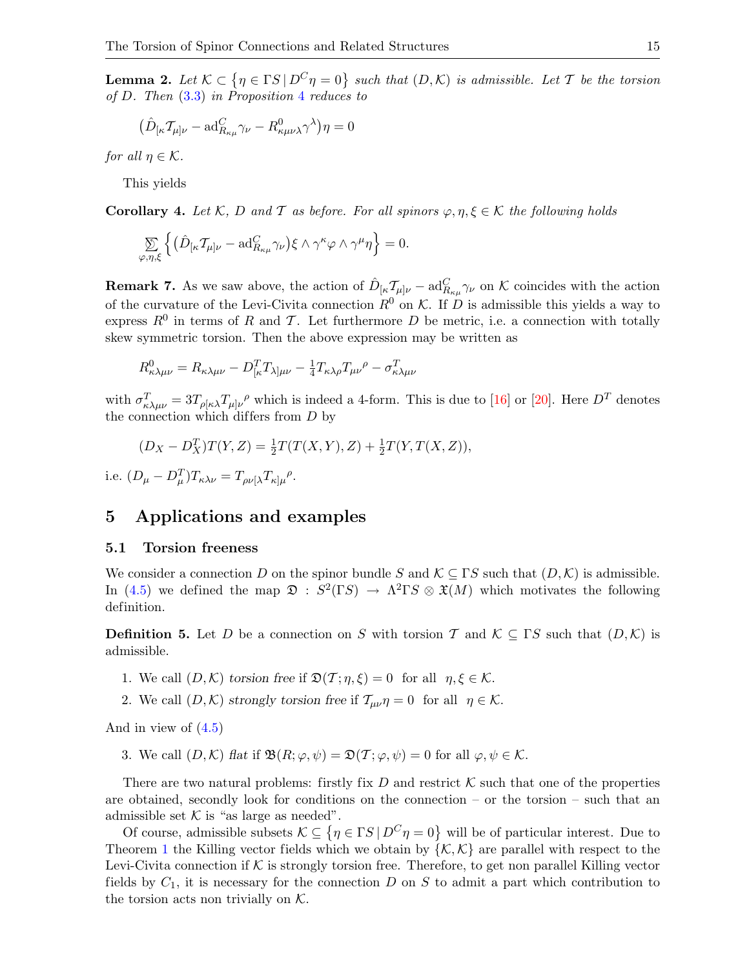**Lemma 2.** Let  $K \subset \{ \eta \in \Gamma S \mid D^C \eta = 0 \}$  such that  $(D, K)$  is admissible. Let T be the torsion of D. Then [\(3.3\)](#page-5-2) in Proposition [4](#page-5-0) reduces to

$$
\big(\hat{D}_{[\kappa}\mathcal{T}_{\mu]\nu}-\mathrm{ad}^C_{R_{\kappa\mu}}\gamma_\nu-R^0_{\kappa\mu\nu\lambda}\gamma^\lambda\big)\eta=0
$$

for all  $\eta \in \mathcal{K}$ .

This yields

**Corollary 4.** Let K, D and T as before. For all spinors  $\varphi, \eta, \xi \in \mathcal{K}$  the following holds

$$
\sum_{\varphi,\eta,\xi}\left\{ \big( \hat{D}_{[\kappa}\mathcal{T}_{\mu]\nu} - \mathrm{ad}^C_{R_{\kappa\mu}}\gamma_{\nu} \big) \xi\wedge \gamma^{\kappa}\varphi\wedge \gamma^{\mu}\eta \right\} = 0.
$$

**Remark 7.** As we saw above, the action of  $\hat{D}_{\kappa}T_{\mu\nu} - \text{ad}_{R_{\kappa\mu}}^C \gamma_{\nu}$  on K coincides with the action of the curvature of the Levi-Civita connection  $R^0$  on K. If D is admissible this yields a way to express  $R^0$  in terms of R and T. Let furthermore D be metric, i.e. a connection with totally skew symmetric torsion. Then the above expression may be written as

$$
R_{\kappa\lambda\mu\nu}^{0} = R_{\kappa\lambda\mu\nu} - D_{[\kappa}^{T}T_{\lambda]\mu\nu} - \frac{1}{4}T_{\kappa\lambda\rho}T_{\mu\nu}^{\ \rho} - \sigma_{\kappa\lambda\mu\nu}^{T}
$$

with  $\sigma_{\kappa\lambda\mu\nu}^T = 3T_{\rho[\kappa\lambda}T_{\mu]\nu}{}^{\rho}$  which is indeed a 4-form. This is due to [\[16\]](#page-26-13) or [\[20\]](#page-26-14). Here  $D^T$  denotes the connection which differs from  $D$  by

$$
(D_X - D_X^T)T(Y, Z) = \frac{1}{2}T(T(X, Y), Z) + \frac{1}{2}T(Y, T(X, Z)),
$$
  
i.e.  $(D_\mu - D_\mu^T)T_{\kappa\lambda\nu} = T_{\rho\nu[\lambda}T_{\kappa]\mu}^{\rho}.$ 

### <span id="page-14-0"></span>5 Applications and examples

#### <span id="page-14-1"></span>5.1 Torsion freeness

We consider a connection D on the spinor bundle S and  $\mathcal{K} \subseteq \Gamma S$  such that  $(D, \mathcal{K})$  is admissible. In [\(4.5\)](#page-12-2) we defined the map  $\mathfrak{D}: S^2(\Gamma S) \to \Lambda^2 \Gamma S \otimes \mathfrak{X}(M)$  which motivates the following definition.

<span id="page-14-2"></span>**Definition 5.** Let D be a connection on S with torsion T and  $\mathcal{K} \subseteq \Gamma S$  such that  $(D,\mathcal{K})$  is admissible.

- 1. We call  $(D,\mathcal{K})$  torsion free if  $\mathfrak{D}(\mathcal{T};\eta,\xi)=0$  for all  $\eta,\xi\in\mathcal{K}$ .
- 2. We call  $(D, \mathcal{K})$  strongly torsion free if  $\mathcal{T}_{\mu\nu}\eta = 0$  for all  $\eta \in \mathcal{K}$ .

And in view of [\(4.5\)](#page-12-2)

3. We call  $(D,\mathcal{K})$  flat if  $\mathfrak{B}(R;\varphi,\psi) = \mathfrak{D}(\mathcal{T};\varphi,\psi) = 0$  for all  $\varphi,\psi \in \mathcal{K}$ .

There are two natural problems: firstly fix D and restrict  $K$  such that one of the properties are obtained, secondly look for conditions on the connection – or the torsion – such that an admissible set  $K$  is "as large as needed".

Of course, admissible subsets  $\mathcal{K} \subseteq \{ \eta \in \Gamma S \mid D^C \eta = 0 \}$  will be of particular interest. Due to Theorem [1](#page-7-1) the Killing vector fields which we obtain by  $\{K, K\}$  are parallel with respect to the Levi-Civita connection if  $K$  is strongly torsion free. Therefore, to get non parallel Killing vector fields by  $C_1$ , it is necessary for the connection D on S to admit a part which contribution to the torsion acts non trivially on  $K$ .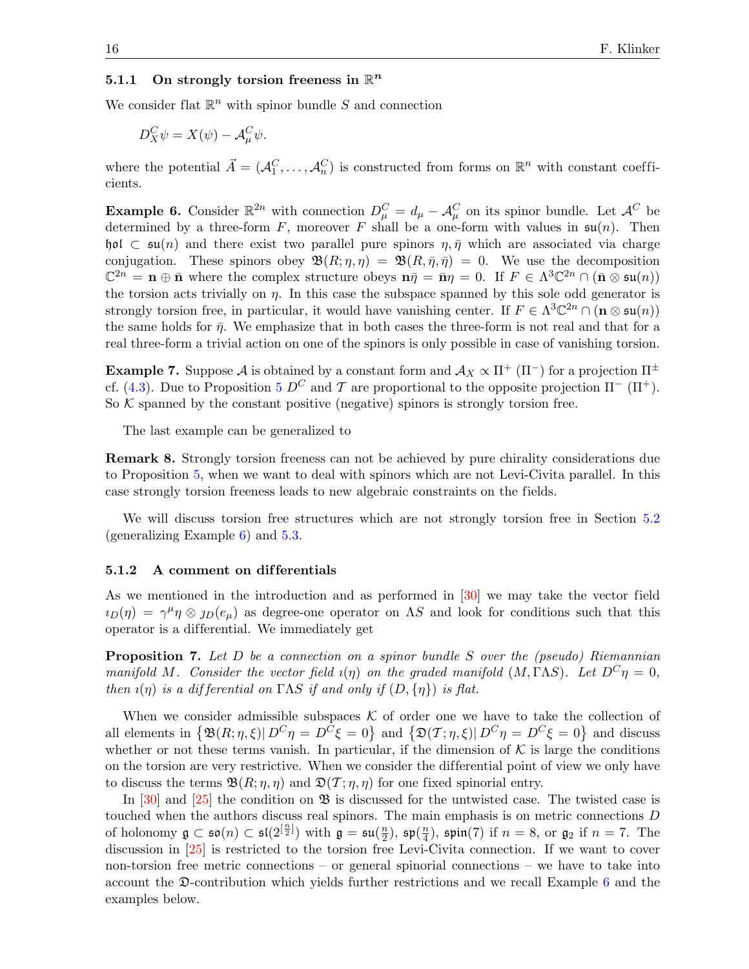### 5.1.1 On strongly torsion freeness in  $\mathbb{R}^n$

We consider flat  $\mathbb{R}^n$  with spinor bundle S and connection

$$
D_X^C \psi = X(\psi) - A_\mu^C \psi.
$$

where the potential  $\vec{A} = (A_1^C, \ldots, A_n^C)$  is constructed from forms on  $\mathbb{R}^n$  with constant coefficients.

<span id="page-15-0"></span>**Example 6.** Consider  $\mathbb{R}^{2n}$  with connection  $D_{\mu}^{C} = d_{\mu} - \mathcal{A}_{\mu}^{C}$  on its spinor bundle. Let  $\mathcal{A}^{C}$  be determined by a three-form F, moreover F shall be a one-form with values in  $\mathfrak{su}(n)$ . Then hol  $\subset$  su(n) and there exist two parallel pure spinors  $\eta, \bar{\eta}$  which are associated via charge conjugation. These spinors obey  $\mathfrak{B}(R;\eta,\eta) = \mathfrak{B}(R,\bar{\eta},\bar{\eta}) = 0$ . We use the decomposition  $\mathbb{C}^{2n} = \mathbf{n} \oplus \bar{\mathbf{n}}$  where the complex structure obeys  $\mathbf{n}\bar{\eta} = \bar{\mathbf{n}}\eta = 0$ . If  $F \in \Lambda^3 \mathbb{C}^{2n} \cap (\bar{\mathbf{n}} \otimes \mathfrak{su}(n))$ the torsion acts trivially on  $\eta$ . In this case the subspace spanned by this sole odd generator is strongly torsion free, in particular, it would have vanishing center. If  $F \in \Lambda^3 \mathbb{C}^{2n} \cap (\mathbf{n} \otimes \mathfrak{su}(n))$ the same holds for  $\bar{\eta}$ . We emphasize that in both cases the three-form is not real and that for a real three-form a trivial action on one of the spinors is only possible in case of vanishing torsion.

**Example 7.** Suppose A is obtained by a constant form and  $\mathcal{A}_X \propto \Pi^+ (\Pi^-)$  for a projection  $\Pi^{\pm}$ cf. [\(4.3\)](#page-11-2). Due to Proposition [5](#page-11-3)  $D^C$  and T are proportional to the opposite projection  $\Pi^-$  ( $\Pi^+$ ). So  $K$  spanned by the constant positive (negative) spinors is strongly torsion free.

The last example can be generalized to

Remark 8. Strongly torsion freeness can not be achieved by pure chirality considerations due to Proposition [5,](#page-11-3) when we want to deal with spinors which are not Levi-Civita parallel. In this case strongly torsion freeness leads to new algebraic constraints on the fields.

We will discuss torsion free structures which are not strongly torsion free in Section [5.2](#page-16-0) (generalizing Example [6\)](#page-15-0) and [5.3.](#page-19-0)

#### 5.1.2 A comment on dif ferentials

As we mentioned in the introduction and as performed in [\[30\]](#page-27-2) we may take the vector field  $i_D(\eta) = \gamma^{\mu} \eta \otimes j_D(e_{\mu})$  as degree-one operator on AS and look for conditions such that this operator is a dif ferential. We immediately get

<span id="page-15-1"></span>**Proposition 7.** Let  $D$  be a connection on a spinor bundle  $S$  over the (pseudo) Riemannian manifold M. Consider the vector field  $\iota(\eta)$  on the graded manifold  $(M, \Gamma \Lambda S)$ . Let  $D^C \eta = 0$ , then  $\iota(\eta)$  is a differential on  $\Gamma\Lambda S$  if and only if  $(D, \{\eta\})$  is flat.

When we consider admissible subspaces  $K$  of order one we have to take the collection of all elements in  $\{\mathfrak{B}(R;\eta,\xi)|D^C\eta=D^C\xi=0\}$  and  $\{\mathfrak{D}(T;\eta,\xi)|D^C\eta=D^C\xi=0\}$  and discuss whether or not these terms vanish. In particular, if the dimension of  $K$  is large the conditions on the torsion are very restrictive. When we consider the differential point of view we only have to discuss the terms  $\mathfrak{B}(R; \eta, \eta)$  and  $\mathfrak{D}(\mathcal{T}; \eta, \eta)$  for one fixed spinorial entry.

In  $[30]$  and  $[25]$  the condition on  $\mathfrak{B}$  is discussed for the untwisted case. The twisted case is touched when the authors discuss real spinors. The main emphasis is on metric connections D of holonomy  $\mathfrak{g} \subset \mathfrak{so}(n) \subset \mathfrak{sl}(2^{[\frac{n}{2}]})$  with  $\mathfrak{g} = \mathfrak{su}(\frac{n}{2})$  $\frac{n}{2}$ ),  $\mathfrak{sp}(\frac{n}{4})$  $\frac{n}{4}$ ), spin(7) if  $n = 8$ , or  $\mathfrak{g}_2$  if  $n = 7$ . The discussion in [\[25\]](#page-27-1) is restricted to the torsion free Levi-Civita connection. If we want to cover non-torsion free metric connections – or general spinorial connections – we have to take into account the D-contribution which yields further restrictions and we recall Example [6](#page-15-0) and the examples below.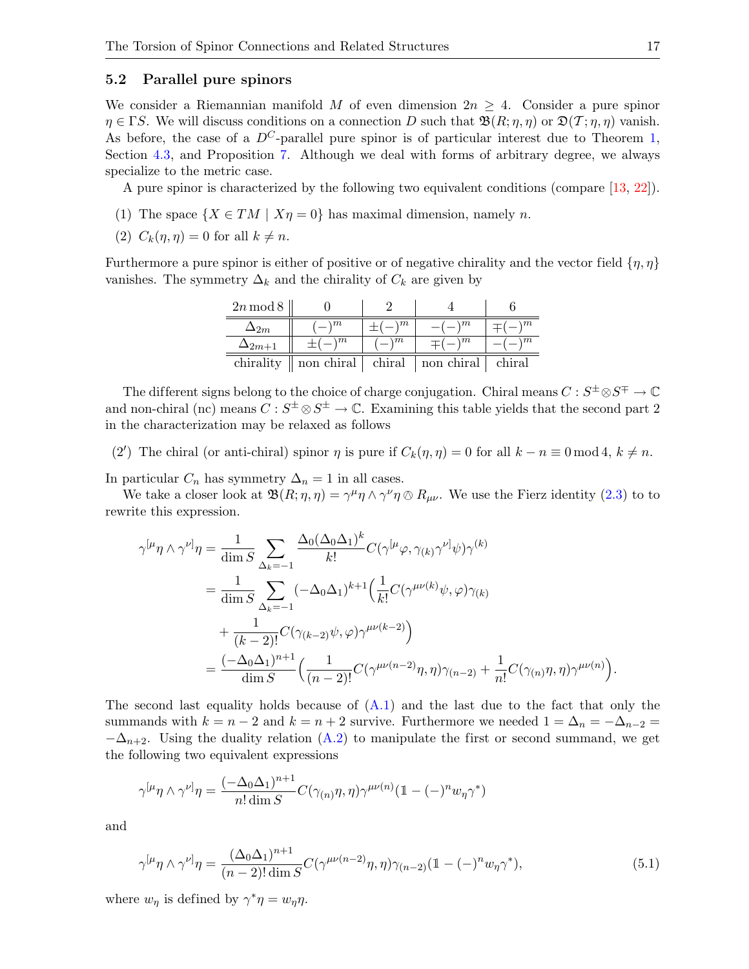### <span id="page-16-0"></span>5.2 Parallel pure spinors

We consider a Riemannian manifold M of even dimension  $2n \geq 4$ . Consider a pure spinor  $\eta \in \Gamma S$ . We will discuss conditions on a connection D such that  $\mathfrak{B}(R; \eta, \eta)$  or  $\mathfrak{D}(\mathcal{T}; \eta, \eta)$  vanish. As before, the case of a  $D^{C}$ -parallel pure spinor is of particular interest due to Theorem 1. Section [4.3,](#page-12-0) and Proposition [7.](#page-15-1) Although we deal with forms of arbitrary degree, we always specialize to the metric case.

A pure spinor is characterized by the following two equivalent conditions (compare [\[13,](#page-26-15) [22\]](#page-27-10)).

- (1) The space  $\{X \in TM \mid X\eta = 0\}$  has maximal dimension, namely n.
- (2)  $C_k(\eta, \eta) = 0$  for all  $k \neq n$ .

Furthermore a pure spinor is either of positive or of negative chirality and the vector field  $\{\eta, \eta\}$ vanishes. The symmetry  $\Delta_k$  and the chirality of  $C_k$  are given by

| $2n \mod 8$     |               |               |               |               |
|-----------------|---------------|---------------|---------------|---------------|
| 2m              | $\setminus m$ | $\setminus m$ | $\setminus m$ | $\setminus m$ |
| $\Delta_{2m+1}$ | $\setminus m$ | $\setminus m$ | $\setminus m$ | $\setminus m$ |
| chirality       | non chiral    | chiral        | non chiral    | chiral        |

The different signs belong to the choice of charge conjugation. Chiral means  $C: S^{\pm} \otimes S^{\mp} \to \mathbb{C}$ and non-chiral (nc) means  $C: S^{\pm} \otimes S^{\pm} \to \mathbb{C}$ . Examining this table yields that the second part 2 in the characterization may be relaxed as follows

(2') The chiral (or anti-chiral) spinor  $\eta$  is pure if  $C_k(\eta, \eta) = 0$  for all  $k - n \equiv 0 \mod 4$ ,  $k \neq n$ .

In particular  $C_n$  has symmetry  $\Delta_n = 1$  in all cases.

We take a closer look at  $\mathfrak{B}(R; \eta, \eta) = \gamma^{\mu} \eta \wedge \gamma^{\nu} \eta \otimes R_{\mu\nu}$ . We use the Fierz identity [\(2.3\)](#page-2-1) to to rewrite this expression.

$$
\gamma^{[\mu}\eta \wedge \gamma^{\nu]}\eta = \frac{1}{\dim S} \sum_{\Delta_k=-1} \frac{\Delta_0(\Delta_0\Delta_1)^k}{k!} C(\gamma^{[\mu}\varphi, \gamma_{(k)}\gamma^{\nu]}\psi)\gamma^{(k)}
$$
  
\n
$$
= \frac{1}{\dim S} \sum_{\Delta_k=-1} (-\Delta_0\Delta_1)^{k+1} \Big(\frac{1}{k!} C(\gamma^{\mu\nu(k)}\psi, \varphi)\gamma_{(k)}
$$
  
\n
$$
+ \frac{1}{(k-2)!} C(\gamma_{(k-2)}\psi, \varphi)\gamma^{\mu\nu(k-2)}\Big)
$$
  
\n
$$
= \frac{(-\Delta_0\Delta_1)^{n+1}}{\dim S} \Big(\frac{1}{(n-2)!} C(\gamma^{\mu\nu(n-2)}\eta, \eta)\gamma_{(n-2)} + \frac{1}{n!} C(\gamma_{(n)}\eta, \eta)\gamma^{\mu\nu(n)}\Big).
$$

The second last equality holds because of  $(A.1)$  and the last due to the fact that only the summands with  $k = n - 2$  and  $k = n + 2$  survive. Furthermore we needed  $1 = \Delta_n = -\Delta_{n-2}$  $-\Delta_{n+2}$ . Using the duality relation [\(A.2\)](#page-25-1) to manipulate the first or second summand, we get the following two equivalent expressions

$$
\gamma^{[\mu}\eta \wedge \gamma^{\nu]}\eta = \frac{(-\Delta_0\Delta_1)^{n+1}}{n!\dim S}C(\gamma_{(n)}\eta,\eta)\gamma^{\mu\nu(n)}(\mathbb{1}-(-)^n w_\eta\gamma^*)
$$

and

<span id="page-16-1"></span>
$$
\gamma^{[\mu}\eta \wedge \gamma^{\nu]}\eta = \frac{(\Delta_0 \Delta_1)^{n+1}}{(n-2)! \dim S} C(\gamma^{\mu\nu(n-2)}\eta, \eta)\gamma_{(n-2)} (\mathbb{1} - (-)^n w_\eta \gamma^*),
$$
\n(5.1)

where  $w_{\eta}$  is defined by  $\gamma^* \eta = w_{\eta} \eta$ .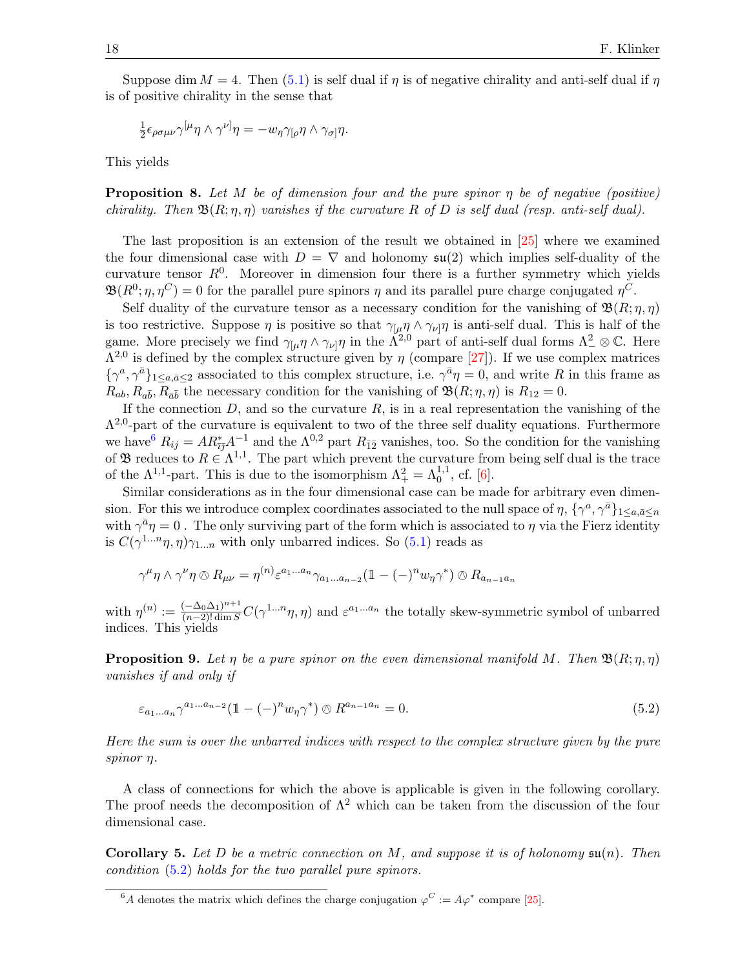Suppose dim  $M = 4$ . Then [\(5.1\)](#page-16-1) is self dual if  $\eta$  is of negative chirality and anti-self dual if  $\eta$ is of positive chirality in the sense that

$$
\frac{1}{2} \epsilon_{\rho\sigma\mu\nu} \gamma^{[\mu} \eta \wedge \gamma^{\nu]} \eta = -w_{\eta} \gamma_{[\rho} \eta \wedge \gamma_{\sigma]} \eta.
$$

This yields

**Proposition 8.** Let M be of dimension four and the pure spinor  $\eta$  be of negative (positive) chirality. Then  $\mathfrak{B}(R; n, n)$  vanishes if the curvature R of D is self dual (resp. anti-self dual).

The last proposition is an extension of the result we obtained in [\[25\]](#page-27-1) where we examined the four dimensional case with  $D = \nabla$  and holonomy  $\mathfrak{su}(2)$  which implies self-duality of the curvature tensor  $R^0$ . Moreover in dimension four there is a further symmetry which yields  $\mathfrak{B}(R^0; \eta, \eta^C) = 0$  for the parallel pure spinors  $\eta$  and its parallel pure charge conjugated  $\eta^C$ .

Self duality of the curvature tensor as a necessary condition for the vanishing of  $\mathfrak{B}(R;\eta,\eta)$ is too restrictive. Suppose  $\eta$  is positive so that  $\gamma_{\mu} \eta \wedge \gamma_{\nu} \eta$  is anti-self dual. This is half of the game. More precisely we find  $\gamma_{\mu} \eta \wedge \gamma_{\nu} \eta$  in the  $\Lambda^{2,0}$  part of anti-self dual forms  $\Lambda^2_{-} \otimes \mathbb{C}$ . Here  $\Lambda^{2,0}$  is defined by the complex structure given by  $\eta$  (compare [\[27\]](#page-27-11)). If we use complex matrices  $\{\gamma^a,\gamma^{\bar a}\}_{1\leq a,\bar a\leq 2}$  associated to this complex structure, i.e.  $\gamma^{\bar a}\eta=0$ , and write R in this frame as  $R_{ab}, R_{a\bar{b}}, R_{\bar{a}\bar{b}}$  the necessary condition for the vanishing of  $\mathfrak{B}(R; \eta, \eta)$  is  $R_{12} = 0$ .

If the connection  $D$ , and so the curvature  $R$ , is in a real representation the vanishing of the  $\Lambda^{2,0}$ -part of the curvature is equivalent to two of the three self duality equations. Furthermore we have  $R_{ij} = AR_{i\bar{j}}^* A^{-1}$  and the  $\Lambda^{0,2}$  part  $R_{\bar{12}}$  vanishes, too. So the condition for the vanishing of **B** reduces to  $R \in \Lambda^{1,1}$ . The part which prevent the curvature from being self dual is the trace of the  $\Lambda^{1,1}$ -part. This is due to the isomorphism  $\Lambda^2_+ = \Lambda^{1,1}_0$ , cf. [\[6\]](#page-26-16).

Similar considerations as in the four dimensional case can be made for arbitrary even dimension. For this we introduce complex coordinates associated to the null space of  $\eta$ ,  $\{\gamma^a, \gamma^{\bar{a}}\}_{1\leq a,\bar{a}\leq n}$ with  $\gamma^{\bar{a}}\eta = 0$ . The only surviving part of the form which is associated to  $\eta$  via the Fierz identity is  $C(\gamma^{1...n}\eta, \eta)\gamma_{1...n}$  with only unbarred indices. So [\(5.1\)](#page-16-1) reads as

 $\gamma^{\mu}\eta \wedge \gamma^{\nu}\eta \otimes R_{\mu\nu} = \eta^{(n)} \varepsilon^{a_1...a_n} \gamma_{a_1...a_{n-2}} (\mathbb{1} - (-)^n w_{\eta} \gamma^*) \otimes R_{a_{n-1}a_n}$ 

with  $\eta^{(n)} := \frac{(-\Delta_0 \Delta_1)^{n+1}}{(n-2)!\dim S}$  $\frac{(-\Delta_0 \Delta_1)^{n+1}}{(n-2)! \dim S} C(\gamma^{1...n}\eta, \eta)$  and  $\varepsilon^{a_1...a_n}$  the totally skew-symmetric symbol of unbarred indices. This yields

<span id="page-17-2"></span>**Proposition 9.** Let  $\eta$  be a pure spinor on the even dimensional manifold M. Then  $\mathfrak{B}(R; \eta, \eta)$ vanishes if and only if

<span id="page-17-1"></span>
$$
\varepsilon_{a_1...a_n} \gamma^{a_1...a_{n-2}} (\mathbb{1} - (-)^n w_\eta \gamma^*) \otimes R^{a_{n-1}a_n} = 0.
$$
 (5.2)

Here the sum is over the unbarred indices with respect to the complex structure given by the pure spinor η.

A class of connections for which the above is applicable is given in the following corollary. The proof needs the decomposition of  $\Lambda^2$  which can be taken from the discussion of the four dimensional case.

**Corollary 5.** Let D be a metric connection on M, and suppose it is of holonomy  $\mathfrak{su}(n)$ . Then condition [\(5.2\)](#page-17-1) holds for the two parallel pure spinors.

<span id="page-17-0"></span><sup>&</sup>lt;sup>6</sup>A denotes the matrix which defines the charge conjugation  $\varphi^C := A\varphi^*$  compare [\[25\]](#page-27-1).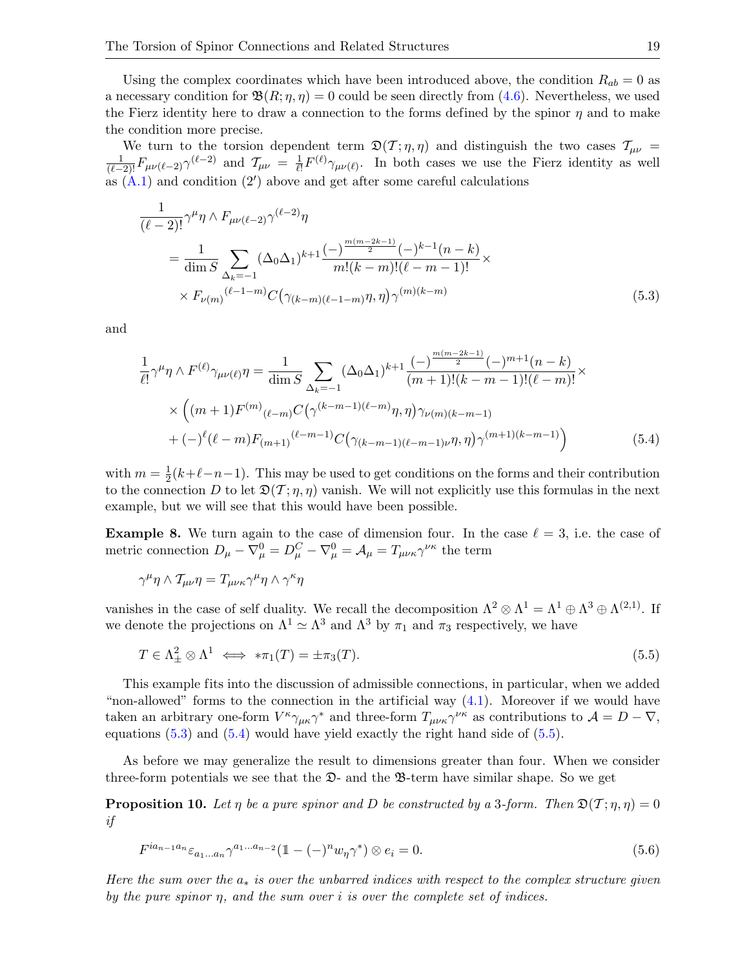Using the complex coordinates which have been introduced above, the condition  $R_{ab} = 0$  as a necessary condition for  $\mathfrak{B}(R; \eta, \eta) = 0$  could be seen directly from [\(4.6\)](#page-12-3). Nevertheless, we used the Fierz identity here to draw a connection to the forms defined by the spinor  $\eta$  and to make the condition more precise.

We turn to the torsion dependent term  $\mathfrak{D}(\mathcal{T}; \eta, \eta)$  and distinguish the two cases  $\mathcal{T}_{\mu\nu}$  =  $\frac{1}{(\ell-2)!}F_{\mu\nu(\ell-2)}\gamma^{(\ell-2)}$  and  $\mathcal{T}_{\mu\nu} = \frac{1}{\ell!}$  $\frac{1}{\ell!} F^{(\ell)} \gamma_{\mu\nu(\ell)}$ . In both cases we use the Fierz identity as well as  $(A.1)$  and condition  $(2')$  above and get after some careful calculations

$$
\frac{1}{(\ell-2)!} \gamma^{\mu} \eta \wedge F_{\mu\nu(\ell-2)} \gamma^{(\ell-2)} \eta
$$
\n
$$
= \frac{1}{\dim S} \sum_{\Delta_k = -1} (\Delta_0 \Delta_1)^{k+1} \frac{(-)^{\frac{m(m-2k-1)}{2}} (-)^{k-1} (n-k)}{m!(k-m)!(\ell-m-1)!} \times
$$
\n
$$
\times F_{\nu(m)}^{(\ell-1-m)} C(\gamma_{(k-m)(\ell-1-m)} \eta, \eta) \gamma^{(m)(k-m)} \tag{5.3}
$$

and

<span id="page-18-1"></span><span id="page-18-0"></span>
$$
\frac{1}{\ell!} \gamma^{\mu} \eta \wedge F^{(\ell)} \gamma_{\mu\nu(\ell)} \eta = \frac{1}{\dim S} \sum_{\Delta_k = -1} (\Delta_0 \Delta_1)^{k+1} \frac{(-)^{\frac{m(m-2k-1)}{2}} (-)^{m+1} (n-k)}{(m+1)!(k-m-1)!(\ell-m)!} \times \times \left( (m+1) F^{(m)}_{(\ell-m)} C \left( \gamma^{(k-m-1)(\ell-m)} \eta, \eta \right) \gamma_{\nu(m)(k-m-1)} + (-)^{\ell} (\ell-m) F_{(m+1)}^{(\ell-m-1)} C \left( \gamma_{(k-m-1)(\ell-m-1)\nu} \eta, \eta \right) \gamma^{(m+1)(k-m-1)} \right) \tag{5.4}
$$

with  $m=\frac{1}{2}$  $\frac{1}{2}(k+\ell-n-1)$ . This may be used to get conditions on the forms and their contribution to the connection D to let  $\mathfrak{D}(\mathcal{T}; \eta, \eta)$  vanish. We will not explicitly use this formulas in the next example, but we will see that this would have been possible.

**Example 8.** We turn again to the case of dimension four. In the case  $\ell = 3$ , i.e. the case of metric connection  $D_{\mu} - \nabla_{\mu}^{0} = D_{\mu}^{C} - \nabla_{\mu}^{0} = A_{\mu} = T_{\mu\nu\kappa}\gamma^{\nu\kappa}$  the term

$$
\gamma^{\mu}\eta \wedge \mathcal{T}_{\mu\nu}\eta = T_{\mu\nu\kappa}\gamma^{\mu}\eta \wedge \gamma^{\kappa}\eta
$$

vanishes in the case of self duality. We recall the decomposition  $\Lambda^2 \otimes \Lambda^1 = \Lambda^1 \oplus \Lambda^3 \oplus \Lambda^{(2,1)}$ . If we denote the projections on  $\Lambda^1 \simeq \Lambda^3$  and  $\Lambda^3$  by  $\pi_1$  and  $\pi_3$  respectively, we have

<span id="page-18-2"></span>
$$
T \in \Lambda^2_{\pm} \otimes \Lambda^1 \iff \ast \pi_1(T) = \pm \pi_3(T). \tag{5.5}
$$

This example fits into the discussion of admissible connections, in particular, when we added "non-allowed" forms to the connection in the artificial way  $(4.1)$ . Moreover if we would have taken an arbitrary one-form  $V^{\kappa}\gamma_{\mu\kappa}\gamma^*$  and three-form  $T_{\mu\nu\kappa}\gamma^{\nu\kappa}$  as contributions to  $\mathcal{A} = D - \nabla$ , equations  $(5.3)$  and  $(5.4)$  would have yield exactly the right hand side of  $(5.5)$ .

As before we may generalize the result to dimensions greater than four. When we consider three-form potentials we see that the  $\mathfrak{D}$ - and the  $\mathfrak{B}$ -term have similar shape. So we get

<span id="page-18-4"></span><span id="page-18-3"></span>**Proposition 10.** Let  $\eta$  be a pure spinor and D be constructed by a 3-form. Then  $\mathfrak{D}(\mathcal{T}; \eta, \eta) = 0$ if

$$
F^{ia_{n-1}a_n} \varepsilon_{a_1...a_n} \gamma^{a_1...a_{n-2}} (\mathbb{1} - (-)^n w_\eta \gamma^*) \otimes e_i = 0.
$$
 (5.6)

Here the sum over the  $a_*$  is over the unbarred indices with respect to the complex structure given by the pure spinor  $n$ , and the sum over i is over the complete set of indices.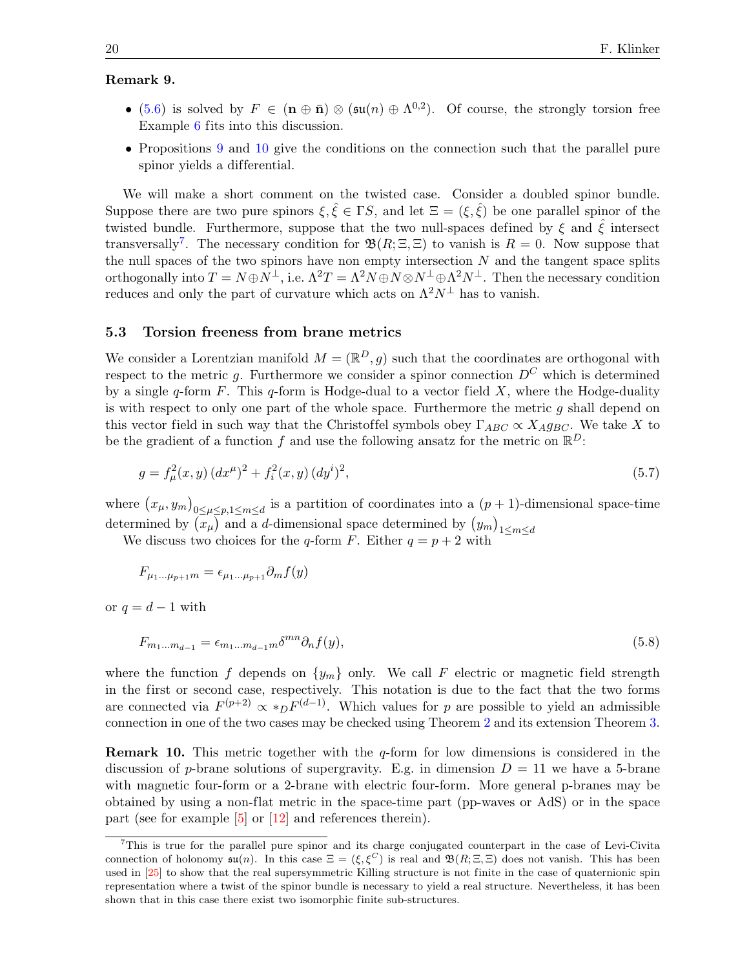### Remark 9.

- [\(5.6\)](#page-18-3) is solved by  $F \in (\mathbf{n} \oplus \bar{\mathbf{n}}) \otimes (\mathfrak{su}(n) \oplus \Lambda^{0,2})$ . Of course, the strongly torsion free Example [6](#page-15-0) fits into this discussion.
- Propositions [9](#page-17-2) and [10](#page-18-4) give the conditions on the connection such that the parallel pure spinor yields a differential.

We will make a short comment on the twisted case. Consider a doubled spinor bundle. Suppose there are two pure spinors  $\xi, \hat{\xi} \in \Gamma S$ , and let  $\Xi = (\xi, \hat{\xi})$  be one parallel spinor of the twisted bundle. Furthermore, suppose that the two null-spaces defined by  $\xi$  and  $\xi$  intersect transversally<sup>[7](#page-19-1)</sup>. The necessary condition for  $\mathfrak{B}(R;\Xi,\Xi)$  to vanish is  $R=0$ . Now suppose that the null spaces of the two spinors have non empty intersection  $N$  and the tangent space splits orthogonally into  $T = N \oplus N^{\perp}$ , i.e.  $\Lambda^2 T = \Lambda^2 N \oplus N \otimes N^{\perp} \oplus \Lambda^2 N^{\perp}$ . Then the necessary condition reduces and only the part of curvature which acts on  $\Lambda^2 N^{\perp}$  has to vanish.

### <span id="page-19-0"></span>5.3 Torsion freeness from brane metrics

We consider a Lorentzian manifold  $M = (\mathbb{R}^D, g)$  such that the coordinates are orthogonal with respect to the metric q. Furthermore we consider a spinor connection  $D^C$  which is determined by a single q-form F. This q-form is Hodge-dual to a vector field X, where the Hodge-duality is with respect to only one part of the whole space. Furthermore the metric  $q$  shall depend on this vector field in such way that the Christoffel symbols obey  $\Gamma_{ABC} \propto X_A g_{BC}$ . We take X to be the gradient of a function f and use the following ansatz for the metric on  $\mathbb{R}^D$ :

<span id="page-19-3"></span>
$$
g = f_{\mu}^{2}(x, y) (dx^{\mu})^{2} + f_{i}^{2}(x, y) (dy^{i})^{2},
$$
\n(5.7)

where  $(x_{\mu}, y_m)_{0 \leq \mu \leq p, 1 \leq m \leq d}$  is a partition of coordinates into a  $(p + 1)$ -dimensional space-time determined by  $(x_\mu)$  and a *d*-dimensional space determined by  $(y_m)_{1 \leq m \leq d}$ 

We discuss two choices for the q-form F. Either  $q = p + 2$  with

$$
F_{\mu_1...\mu_{p+1}m} = \epsilon_{\mu_1...\mu_{p+1}} \partial_m f(y)
$$

or  $q = d - 1$  with

<span id="page-19-2"></span>
$$
F_{m_1...m_{d-1}} = \epsilon_{m_1...m_{d-1}m} \delta^{mn} \partial_n f(y), \tag{5.8}
$$

where the function f depends on  $\{y_m\}$  only. We call F electric or magnetic field strength in the first or second case, respectively. This notation is due to the fact that the two forms are connected via  $F^{(p+2)} \propto *_{D} F^{(d-1)}$ . Which values for p are possible to yield an admissible connection in one of the two cases may be checked using Theorem [2](#page-7-0) and its extension Theorem [3.](#page-9-0)

**Remark 10.** This metric together with the  $q$ -form for low dimensions is considered in the discussion of p-brane solutions of supergravity. E.g. in dimension  $D = 11$  we have a 5-brane with magnetic four-form or a 2-brane with electric four-form. More general p-branes may be obtained by using a non-flat metric in the space-time part (pp-waves or AdS) or in the space part (see for example [\[5\]](#page-26-17) or [\[12\]](#page-26-18) and references therein).

<span id="page-19-1"></span><sup>7</sup>This is true for the parallel pure spinor and its charge conjugated counterpart in the case of Levi-Civita connection of holonomy  $\mathfrak{su}(n)$ . In this case  $\Xi = (\xi, \xi^C)$  is real and  $\mathfrak{B}(R; \Xi, \Xi)$  does not vanish. This has been used in [\[25\]](#page-27-1) to show that the real supersymmetric Killing structure is not finite in the case of quaternionic spin representation where a twist of the spinor bundle is necessary to yield a real structure. Nevertheless, it has been shown that in this case there exist two isomorphic finite sub-structures.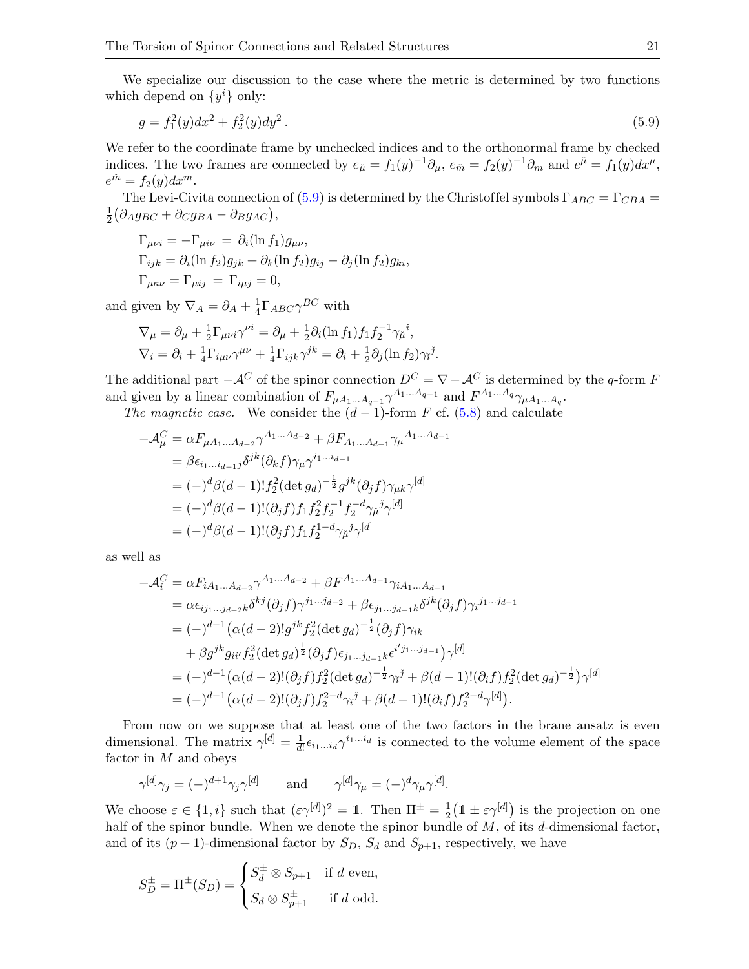We specialize our discussion to the case where the metric is determined by two functions which depend on  $\{y^i\}$  only:

<span id="page-20-0"></span>
$$
g = f_1^2(y)dx^2 + f_2^2(y)dy^2.
$$
\n(5.9)

We refer to the coordinate frame by unchecked indices and to the orthonormal frame by checked indices. The two frames are connected by  $e_{\check{\mu}} = f_1(y)^{-1} \partial_{\mu}$ ,  $e_{\check{m}} = f_2(y)^{-1} \partial_m$  and  $e^{\check{\mu}} = f_1(y) dx^{\mu}$ ,  $e^{\check{m}} = f_2(y)dx^m.$ 

The Levi-Civita connection of [\(5.9\)](#page-20-0) is determined by the Christoffel symbols  $\Gamma_{ABC} = \Gamma_{CBA}$  = 1  $\frac{1}{2}(\partial_{ABBC} + \partial_{C}g_{BA} - \partial_Bg_{AC}),$ 

$$
\Gamma_{\mu\nu i} = -\Gamma_{\mu i\nu} = \partial_i (\ln f_1) g_{\mu\nu},
$$
  
\n
$$
\Gamma_{ijk} = \partial_i (\ln f_2) g_{jk} + \partial_k (\ln f_2) g_{ij} - \partial_j (\ln f_2) g_{ki},
$$
  
\n
$$
\Gamma_{\mu\kappa\nu} = \Gamma_{\mu ij} = \Gamma_{i\mu j} = 0,
$$

and given by  $\nabla_A = \partial_A + \frac{1}{4}$  $\frac{1}{4}\Gamma_{ABC}\gamma^{BC}$  with

$$
\nabla_{\mu} = \partial_{\mu} + \frac{1}{2} \Gamma_{\mu\nu i} \gamma^{\nu i} = \partial_{\mu} + \frac{1}{2} \partial_i (\ln f_1) f_1 f_2^{-1} \gamma_{\mu}^{i},
$$
  

$$
\nabla_i = \partial_i + \frac{1}{4} \Gamma_{i\mu\nu} \gamma^{\mu\nu} + \frac{1}{4} \Gamma_{ijk} \gamma^{jk} = \partial_i + \frac{1}{2} \partial_j (\ln f_2) \gamma_i^{j}.
$$

The additional part  $-\mathcal{A}^C$  of the spinor connection  $D^C = \nabla - \mathcal{A}^C$  is determined by the q-form F and given by a linear combination of  $F_{\mu A_1...A_{q-1}} \gamma^{A_1...A_{q-1}}$  and  $F^{A_1...A_q} \gamma_{\mu A_1...A_q}$ .

The magnetic case. We consider the  $(d-1)$ -form F cf. [\(5.8\)](#page-19-2) and calculate

$$
-\mathcal{A}^C_\mu = \alpha F_{\mu A_1 \dots A_{d-2}} \gamma^{A_1 \dots A_{d-2}} + \beta F_{A_1 \dots A_{d-1}} \gamma_\mu^{A_1 \dots A_{d-1}}
$$
  
\n
$$
= \beta \epsilon_{i_1 \dots i_{d-1}j} \delta^{jk} (\partial_k f) \gamma_\mu \gamma^{i_1 \dots i_{d-1}}
$$
  
\n
$$
= (-)^d \beta (d-1)! f_2^2 (\det g_d)^{-\frac{1}{2}} g^{jk} (\partial_j f) \gamma_{\mu k} \gamma^{[d]}
$$
  
\n
$$
= (-)^d \beta (d-1)! (\partial_j f) f_1 f_2^2 f_2^{-1} f_2^{-d} \gamma_\mu \gamma_\mu \gamma^{[d]}
$$
  
\n
$$
= (-)^d \beta (d-1)! (\partial_j f) f_1 f_2^{1-d} \gamma_\mu \gamma_\mu \gamma^{[d]}
$$

as well as

$$
-\mathcal{A}_{i}^{C} = \alpha F_{iA_{1}...A_{d-2}} \gamma^{A_{1}...A_{d-2}} + \beta F^{A_{1}...A_{d-1}} \gamma_{iA_{1}...A_{d-1}}
$$
  
\n
$$
= \alpha \epsilon_{ij_{1}...j_{d-2}k} \delta^{kj} (\partial_{j}f) \gamma^{j_{1}...j_{d-2}} + \beta \epsilon_{j_{1}...j_{d-1}k} \delta^{jk} (\partial_{j}f) \gamma_{i}^{j_{1}...j_{d-1}}
$$
  
\n
$$
= (-)^{d-1} (\alpha(d-2)! g^{jk} f_{2}^{2} (\det g_{d})^{-\frac{1}{2}} (\partial_{j}f) \gamma_{ik}
$$
  
\n
$$
+ \beta g^{jk} g_{ii'} f_{2}^{2} (\det g_{d})^{\frac{1}{2}} (\partial_{j}f) \epsilon_{j_{1}...j_{d-1}k} \epsilon^{i'j_{1}...j_{d-1}}) \gamma^{[d]}
$$
  
\n
$$
= (-)^{d-1} (\alpha(d-2)! (\partial_{j}f) f_{2}^{2} (\det g_{d})^{-\frac{1}{2}} \gamma_{i}^{j} + \beta(d-1)! (\partial_{i}f) f_{2}^{2} (\det g_{d})^{-\frac{1}{2}}) \gamma^{[d]}
$$
  
\n
$$
= (-)^{d-1} (\alpha(d-2)! (\partial_{j}f) f_{2}^{2-d} \gamma_{i}^{j} + \beta(d-1)! (\partial_{i}f) f_{2}^{2-d} \gamma^{[d]}).
$$

From now on we suppose that at least one of the two factors in the brane ansatz is even dimensional. The matrix  $\gamma^{[d]} = \frac{1}{d!}$  $\frac{1}{d!} \epsilon_{i_1...i_d} \gamma^{i_1...i_d}$  is connected to the volume element of the space factor in M and obeys

$$
\gamma^{[d]}\gamma_j = (-)^{d+1}\gamma_j\gamma^{[d]}
$$
 and  $\gamma^{[d]}\gamma_\mu = (-)^d\gamma_\mu\gamma^{[d]}.$ 

We choose  $\varepsilon \in \{1, i\}$  such that  $(\varepsilon \gamma^{[d]})^2 = \mathbb{1}$ . Then  $\Pi^{\pm} = \frac{1}{2}$  $\frac{1}{2}(\mathbb{1} \pm \varepsilon \gamma^{[d]})$  is the projection on one half of the spinor bundle. When we denote the spinor bundle of  $M$ , of its  $d$ -dimensional factor, and of its  $(p+1)$ -dimensional factor by  $S_D$ ,  $S_d$  and  $S_{p+1}$ , respectively, we have

$$
S_D^{\pm} = \Pi^{\pm}(S_D) = \begin{cases} S_d^{\pm} \otimes S_{p+1} & \text{if } d \text{ even,} \\ S_d \otimes S_{p+1}^{\pm} & \text{if } d \text{ odd.} \end{cases}
$$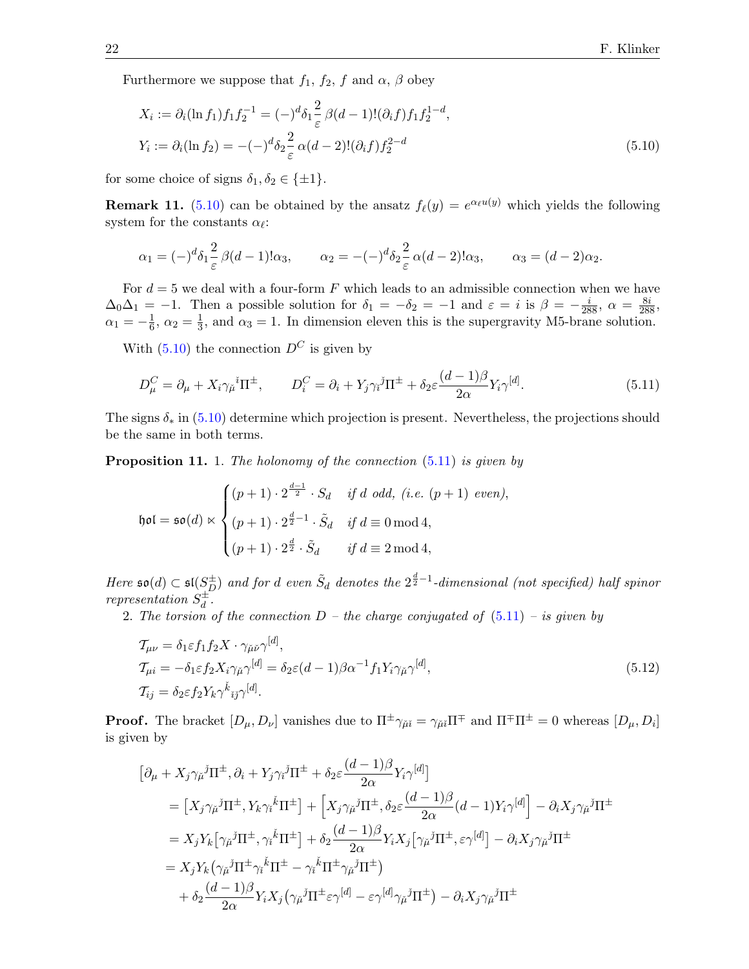Furthermore we suppose that  $f_1$ ,  $f_2$ ,  $f$  and  $\alpha$ ,  $\beta$  obey

<span id="page-21-0"></span>
$$
X_i := \partial_i (\ln f_1) f_1 f_2^{-1} = (-)^d \delta_1 \frac{2}{\varepsilon} \beta(d-1)! (\partial_i f) f_1 f_2^{1-d},
$$
  
\n
$$
Y_i := \partial_i (\ln f_2) = -(-)^d \delta_2 \frac{2}{\varepsilon} \alpha(d-2)! (\partial_i f) f_2^{2-d}
$$
\n(5.10)

for some choice of signs  $\delta_1, \delta_2 \in \{\pm 1\}.$ 

**Remark 11.** [\(5.10\)](#page-21-0) can be obtained by the ansatz  $f_{\ell}(y) = e^{\alpha_{\ell}u(y)}$  which yields the following system for the constants  $\alpha_{\ell}$ :

$$
\alpha_1 = (-)^d \delta_1 \frac{2}{\varepsilon} \beta(d-1)!\alpha_3, \qquad \alpha_2 = -(-)^d \delta_2 \frac{2}{\varepsilon} \alpha(d-2)!\alpha_3, \qquad \alpha_3 = (d-2)\alpha_2.
$$

For  $d = 5$  we deal with a four-form F which leads to an admissible connection when we have  $\Delta_0\Delta_1 = -1$ . Then a possible solution for  $\delta_1 = -\delta_2 = -1$  and  $\varepsilon = i$  is  $\beta = -\frac{i}{288}$ ,  $\alpha = \frac{8i}{288}$ ,  $\alpha_1 = -\frac{1}{6}$  $\frac{1}{6}$ ,  $\alpha_2 = \frac{1}{3}$  $\frac{1}{3}$ , and  $\alpha_3 = 1$ . In dimension eleven this is the supergravity M5-brane solution.

With  $(5.10)$  the connection  $D^C$  is given by

<span id="page-21-1"></span>
$$
D_{\mu}^{C} = \partial_{\mu} + X_{i} \gamma_{\mu}{}^{i} \Pi^{\pm}, \qquad D_{i}^{C} = \partial_{i} + Y_{j} \gamma_{i}{}^{j} \Pi^{\pm} + \delta_{2} \varepsilon \frac{(d-1)\beta}{2\alpha} Y_{i} \gamma^{[d]}.
$$
\n
$$
(5.11)
$$

The signs  $\delta_*$  in [\(5.10\)](#page-21-0) determine which projection is present. Nevertheless, the projections should be the same in both terms.

<span id="page-21-2"></span>**Proposition 11.** 1. The holonomy of the connection [\(5.11\)](#page-21-1) is given by

$$
\mathfrak{hol} = \mathfrak{so}(d) \ltimes \begin{cases} (p+1) \cdot 2^{\frac{d-1}{2}} \cdot S_d & \text{if } d \text{ odd}, \ (i.e. \ (p+1) \ even), \\ (p+1) \cdot 2^{\frac{d}{2}-1} \cdot \tilde{S}_d & \text{if } d \equiv 0 \bmod 4, \\ (p+1) \cdot 2^{\frac{d}{2}} \cdot \tilde{S}_d & \text{if } d \equiv 2 \bmod 4, \end{cases}
$$

Here  $\mathfrak{so}(d) \subset \mathfrak{sl}(S_D^{\pm})$  and for d even  $\tilde{S}_d$  denotes the  $2^{\frac{d}{2}-1}$ -dimensional (not specified) half spinor representation  $S_d^{\pm}$  $\frac{1}{d}$  .

2. The torsion of the connection  $D$  – the charge conjugated of  $(5.11)$  – is given by

<span id="page-21-3"></span>
$$
\begin{aligned}\n\mathcal{T}_{\mu\nu} &= \delta_1 \varepsilon f_1 f_2 X \cdot \gamma_{\mu\nu} \gamma^{[d]}, \\
\mathcal{T}_{\mu i} &= -\delta_1 \varepsilon f_2 X_i \gamma_{\mu} \gamma^{[d]} = \delta_2 \varepsilon (d-1) \beta \alpha^{-1} f_1 Y_i \gamma_{\mu} \gamma^{[d]}, \\
\mathcal{T}_{ij} &= \delta_2 \varepsilon f_2 Y_k \gamma^k_{ij} \gamma^{[d]}.\n\end{aligned}\n\tag{5.12}
$$

**Proof.** The bracket  $[D_\mu, D_\nu]$  vanishes due to  $\Pi^{\pm} \gamma_{\mu i} = \gamma_{\mu i} \Pi^{\mp}$  and  $\Pi^{\mp} \Pi^{\pm} = 0$  whereas  $[D_\mu, D_i]$ is given by

$$
\begin{split} &\left[\partial_{\mu}+X_{j}\gamma_{\check{\mu}}{}^{j}\Pi^{\pm},\partial_{i}+Y_{j}\gamma_{i}{}^{j}\Pi^{\pm}+\delta_{2}\varepsilon\frac{(d-1)\beta}{2\alpha}Y_{i}\gamma^{[d]}\right] \\ &=\left[X_{j}\gamma_{\check{\mu}}{}^{j}\Pi^{\pm},Y_{k}\gamma_{i}{}^{k}\Pi^{\pm}\right]+\left[X_{j}\gamma_{\check{\mu}}{}^{j}\Pi^{\pm},\delta_{2}\varepsilon\frac{(d-1)\beta}{2\alpha}(d-1)Y_{i}\gamma^{[d]}\right]-\partial_{i}X_{j}\gamma_{\check{\mu}}{}^{j}\Pi^{\pm} \\ &=X_{j}Y_{k}\left[\gamma_{\check{\mu}}{}^{j}\Pi^{\pm},\gamma_{i}{}^{k}\Pi^{\pm}\right]+\delta_{2}\frac{(d-1)\beta}{2\alpha}Y_{i}X_{j}\left[\gamma_{\check{\mu}}{}^{j}\Pi^{\pm},\varepsilon\gamma^{[d]}\right]-\partial_{i}X_{j}\gamma_{\check{\mu}}{}^{j}\Pi^{\pm} \\ &=X_{j}Y_{k}\left(\gamma_{\check{\mu}}{}^{j}\Pi^{\pm}\gamma_{i}{}^{k}\Pi^{\pm}-\gamma_{i}{}^{k}\Pi^{\pm}\gamma_{\check{\mu}}{}^{j}\Pi^{\pm}\right) \\ &+\delta_{2}\frac{(d-1)\beta}{2\alpha}Y_{i}X_{j}\left(\gamma_{\check{\mu}}{}^{j}\Pi^{\pm}\varepsilon\gamma^{[d]}-\varepsilon\gamma^{[d]}\gamma_{\check{\mu}}{}^{j}\Pi^{\pm}\right)-\partial_{i}X_{j}\gamma_{\check{\mu}}{}^{j}\Pi^{\pm} \end{split}
$$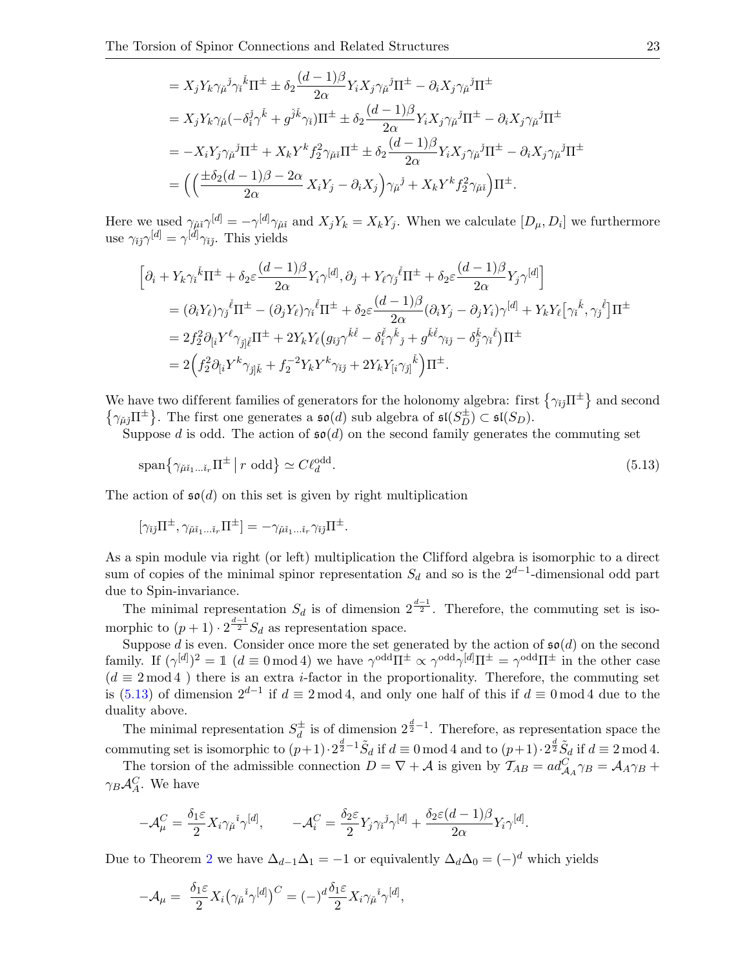$$
= X_j Y_k \gamma_{\tilde{\mu}}{}^{\tilde{j}} \gamma_i{}^{\tilde{k}} \Pi^{\pm} \pm \delta_2 \frac{(d-1)\beta}{2\alpha} Y_i X_j \gamma_{\tilde{\mu}}{}^{\tilde{j}} \Pi^{\pm} - \partial_i X_j \gamma_{\tilde{\mu}}{}^{\tilde{j}} \Pi^{\pm}
$$
  
\n
$$
= X_j Y_k \gamma_{\tilde{\mu}} (-\delta_i^{\tilde{j}} \gamma^{\tilde{k}} + g^{\tilde{j}\tilde{k}} \gamma_i) \Pi^{\pm} \pm \delta_2 \frac{(d-1)\beta}{2\alpha} Y_i X_j \gamma_{\tilde{\mu}}{}^{\tilde{j}} \Pi^{\pm} - \partial_i X_j \gamma_{\tilde{\mu}}{}^{\tilde{j}} \Pi^{\pm}
$$
  
\n
$$
= -X_i Y_j \gamma_{\tilde{\mu}}{}^{\tilde{j}} \Pi^{\pm} + X_k Y^k f_2^2 \gamma_{\tilde{\mu}\tilde{i}} \Pi^{\pm} \pm \delta_2 \frac{(d-1)\beta}{2\alpha} Y_i X_j \gamma_{\tilde{\mu}}{}^{\tilde{j}} \Pi^{\pm} - \partial_i X_j \gamma_{\tilde{\mu}}{}^{\tilde{j}} \Pi^{\pm}
$$
  
\n
$$
= \Big( \Big( \frac{\pm \delta_2 (d-1)\beta - 2\alpha}{2\alpha} X_i Y_j - \partial_i X_j \Big) \gamma_{\tilde{\mu}}{}^{\tilde{j}} + X_k Y^k f_2^2 \gamma_{\tilde{\mu}\tilde{i}} \Big) \Pi^{\pm}.
$$

Here we used  $\gamma_{\mu i} \gamma^{[d]} = -\gamma^{[d]} \gamma_{\mu i}$  and  $X_j Y_k = X_k Y_j$ . When we calculate  $[D_\mu, D_i]$  we furthermore use  $\gamma_{ij}\gamma^{[d]} = \gamma^{[d]} \gamma_{ij}$ . This yields

$$
\begin{split} \Big[ & \partial_i + Y_k \gamma_i{}^{\check{k}} \Pi^{\pm} + \delta_2 \varepsilon \frac{(d-1)\beta}{2\alpha} Y_i \gamma^{[d]}, \partial_j + Y_\ell \gamma_j{}^{\check{\ell}} \Pi^{\pm} + \delta_2 \varepsilon \frac{(d-1)\beta}{2\alpha} Y_j \gamma^{[d]} \Big] \\ & = (\partial_i Y_\ell) \gamma_j{}^{\check{\ell}} \Pi^{\pm} - (\partial_j Y_\ell) \gamma_i{}^{\check{\ell}} \Pi^{\pm} + \delta_2 \varepsilon \frac{(d-1)\beta}{2\alpha} (\partial_i Y_j - \partial_j Y_i) \gamma^{[d]} + Y_k Y_\ell \big[ \gamma_i{}^{\check{k}}, \gamma_j{}^{\check{\ell}} \big] \Pi^{\pm} \\ & = 2 f_2^2 \partial_{[i} Y^\ell \gamma_{\check{j}] \check{\ell}} \Pi^{\pm} + 2 Y_k Y_\ell \big( g_{\check{i}\check{j}} \gamma^{\check{k}\check{\ell}} - \delta_i^{\check{\ell}} \gamma^{\check{k}}{}_{j} + g^{\check{k}\check{\ell}} \gamma_{\check{i}\check{j}} - \delta_j^{\check{k}} \gamma_i{}^{\check{\ell}} \big) \Pi^{\pm} \\ & = 2 \Big( f_2^2 \partial_{[i} Y^k \gamma_{\check{j}] \check{k}} + f_2^{-2} Y_k Y^k \gamma_{\check{i}\check{j}} + 2 Y_k Y_{[i} \gamma_{\check{j}]}{}^{\check{k}} \Big) \Pi^{\pm} . \end{split}
$$

We have two different families of generators for the holonomy algebra: first  $\{\gamma_{ij}\Pi^{\pm}\}\$  and second  $\{\gamma_{\check{\mu}\check{\jmath}}\Pi^{\pm}\}\.$  The first one generates a  $\mathfrak{so}(d)$  sub algebra of  $\mathfrak{sl}(S_D^{\pm})\subset \mathfrak{sl}(S_D).$ 

Suppose d is odd. The action of  $\mathfrak{so}(d)$  on the second family generates the commuting set

<span id="page-22-0"></span>
$$
\text{span}\left\{\gamma_{\check{\mu}i_1\ldots i_r}\Pi^{\pm} \mid r \text{ odd}\right\} \simeq C\ell_d^{\text{odd}}.\tag{5.13}
$$

The action of  $\mathfrak{so}(d)$  on this set is given by right multiplication

$$
[\gamma_{\check{i}\check{j}}\Pi^{\pm}, \gamma_{\check{\mu}\check{\imath}_{1} \dots \check{\imath}_{r}}\Pi^{\pm}] = -\gamma_{\check{\mu}\check{\imath}_{1} \dots \check{\imath}_{r}}\gamma_{\check{i}\check{j}}\Pi^{\pm}.
$$

As a spin module via right (or left) multiplication the Clifford algebra is isomorphic to a direct sum of copies of the minimal spinor representation  $S_d$  and so is the  $2^{d-1}$ -dimensional odd part due to Spin-invariance.

The minimal representation  $S_d$  is of dimension  $2^{\frac{d-1}{2}}$ . Therefore, the commuting set is isomorphic to  $(p+1) \cdot 2^{\frac{d-1}{2}} S_d$  as representation space.

Suppose d is even. Consider once more the set generated by the action of  $\mathfrak{so}(d)$  on the second family. If  $({\gamma}^{[d]})^2 = \mathbb{1}$   $(d \equiv 0 \mod 4)$  we have  ${\gamma}^{odd} \Pi^{\pm} \propto {\gamma}^{odd} {\gamma}^{[d]} \Pi^{\pm} = {\gamma}^{odd} \Pi^{\pm}$  in the other case  $(d \equiv 2 \mod 4)$  there is an extra *i*-factor in the proportionality. Therefore, the commuting set is [\(5.13\)](#page-22-0) of dimension  $2^{d-1}$  if  $d \equiv 2 \mod 4$ , and only one half of this if  $d \equiv 0 \mod 4$  due to the duality above.

The minimal representation  $S_d^{\pm}$  $\frac{d}{d}$  is of dimension  $2^{\frac{d}{2}-1}$ . Therefore, as representation space the commuting set is isomorphic to  $(p+1) \cdot 2^{\frac{d}{2}-1} \tilde{S}_d$  if  $d \equiv 0 \mod 4$  and to  $(p+1) \cdot 2^{\frac{d}{2}} \tilde{S}_d$  if  $d \equiv 2 \mod 4$ .

The torsion of the admissible connection  $D = \nabla + A$  is given by  $\mathcal{T}_{AB} = ad_{\mathcal{A}_A}^C \gamma_B = \mathcal{A}_A \gamma_B +$  $\gamma_B \mathcal{A}_A^C$ . We have

$$
-\mathcal{A}^C_\mu = \frac{\delta_1 \varepsilon}{2} X_i \gamma_\mu{}^i \gamma^{[d]}, \qquad -\mathcal{A}^C_i = \frac{\delta_2 \varepsilon}{2} Y_j \gamma_i{}^j \gamma^{[d]} + \frac{\delta_2 \varepsilon (d-1) \beta}{2 \alpha} Y_i \gamma^{[d]}.
$$

Due to Theorem [2](#page-7-0) we have  $\Delta_{d-1}\Delta_1 = -1$  or equivalently  $\Delta_d\Delta_0 = (-)^d$  which yields

$$
-\mathcal{A}_{\mu} = \frac{\delta_1 \varepsilon}{2} X_i \big( \gamma_{\mu}{}^{i} \gamma^{[d]} \big)^C = (-)^d \frac{\delta_1 \varepsilon}{2} X_i \gamma_{\mu}{}^{i} \gamma^{[d]},
$$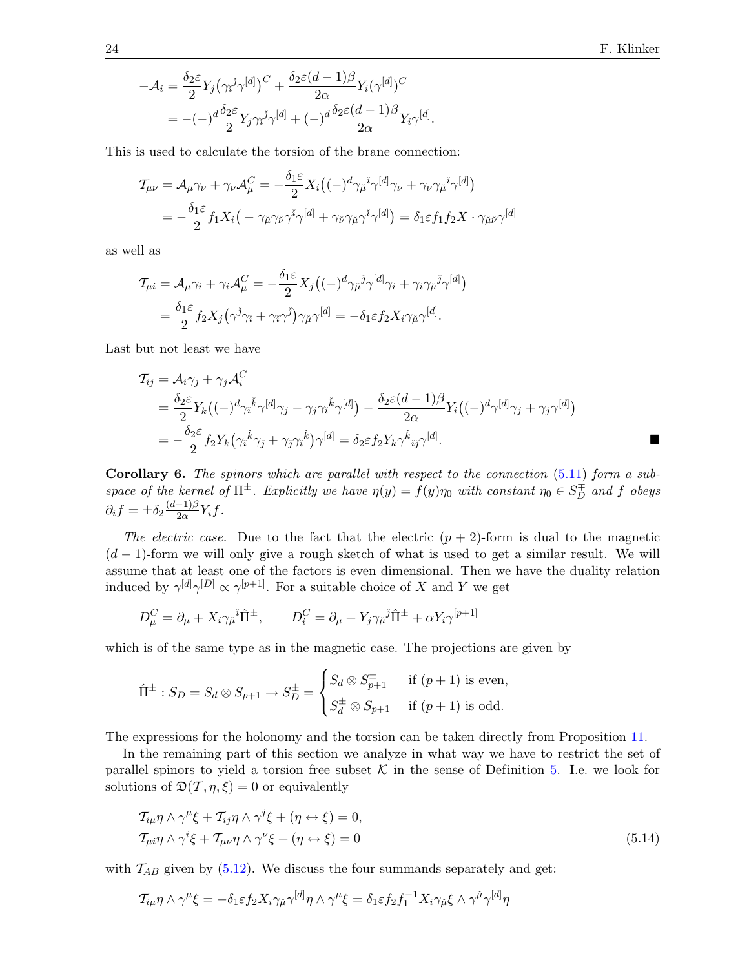$$
-\mathcal{A}_i = \frac{\delta_2 \varepsilon}{2} Y_j \left( \gamma_i \varepsilon_j \gamma^{[d]} \right)^C + \frac{\delta_2 \varepsilon (d-1) \beta}{2 \alpha} Y_i (\gamma^{[d]})^C
$$
  
= -(-)  $\frac{d \delta_2 \varepsilon}{2} Y_j \gamma_i \varepsilon_j \gamma^{[d]} + (-) \frac{d \delta_2 \varepsilon (d-1) \beta}{2 \alpha} Y_i \gamma^{[d]}$ 

This is used to calculate the torsion of the brane connection:

$$
\mathcal{T}_{\mu\nu} = \mathcal{A}_{\mu}\gamma_{\nu} + \gamma_{\nu}\mathcal{A}_{\mu}^{C} = -\frac{\delta_{1}\varepsilon}{2}X_{i}((-\gamma^{d}\gamma_{\mu}^{i}\gamma^{[d]}\gamma_{\nu} + \gamma_{\nu}\gamma_{\mu}^{i}\gamma^{[d]})
$$
  
= 
$$
-\frac{\delta_{1}\varepsilon}{2}f_{1}X_{i}(-\gamma_{\mu}\gamma_{\nu}\gamma^{i}\gamma^{[d]} + \gamma_{\nu}\gamma_{\mu}\gamma^{i}\gamma^{[d]}) = \delta_{1}\varepsilon f_{1}f_{2}X \cdot \gamma_{\mu}\gamma^{[d]}
$$

as well as

$$
\mathcal{T}_{\mu i} = \mathcal{A}_{\mu} \gamma_i + \gamma_i \mathcal{A}_{\mu}^C = -\frac{\delta_1 \varepsilon}{2} X_j \big( (-)^d \gamma_{\mu}{}^j \gamma^{[d]} \gamma_i + \gamma_i \gamma_{\mu}{}^j \gamma^{[d]} \big)
$$
  
= 
$$
\frac{\delta_1 \varepsilon}{2} f_2 X_j \big( \gamma^j \gamma_i + \gamma_i \gamma^j \big) \gamma_{\mu} \gamma^{[d]} = -\delta_1 \varepsilon f_2 X_i \gamma_{\mu} \gamma^{[d]}.
$$

Last but not least we have

$$
T_{ij} = A_i \gamma_j + \gamma_j A_i^C
$$
  
=  $\frac{\delta_2 \varepsilon}{2} Y_k ((-\gamma^d \gamma_i^k \gamma^{[d]} \gamma_j - \gamma_j \gamma_i^k \gamma^{[d]}) - \frac{\delta_2 \varepsilon (d-1) \beta}{2\alpha} Y_i ((-\gamma^d \gamma^{[d]} \gamma_j + \gamma_j \gamma^{[d]})$   
=  $-\frac{\delta_2 \varepsilon}{2} f_2 Y_k (\gamma_i^k \gamma_j + \gamma_j \gamma_i^k) \gamma^{[d]} = \delta_2 \varepsilon f_2 Y_k \gamma_i^k i_j \gamma^{[d]}.$ 

.

**Corollary 6.** The spinors which are parallel with respect to the connection  $(5.11)$  form a subspace of the kernel of  $\Pi^{\pm}$ . Explicitly we have  $\eta(y) = f(y)\eta_0$  with constant  $\eta_0 \in S_D^{\pm}$  and f obeys  $\partial_i f = \pm \delta_2 \frac{(d-1)\beta}{2\alpha}$  $\frac{-1}{2\alpha}Y_i f$ .

The electric case. Due to the fact that the electric  $(p + 2)$ -form is dual to the magnetic  $(d-1)$ -form we will only give a rough sketch of what is used to get a similar result. We will assume that at least one of the factors is even dimensional. Then we have the duality relation induced by  $\gamma^{[d]}\gamma^{[D]}\propto\gamma^{[p+1]}$ . For a suitable choice of X and Y we get

$$
D_{\mu}^{C} = \partial_{\mu} + X_{i} \gamma_{\mu}{}^{i} \hat{\Pi}^{\pm}, \qquad D_{i}^{C} = \partial_{\mu} + Y_{j} \gamma_{\mu}{}^{j} \hat{\Pi}^{\pm} + \alpha Y_{i} \gamma^{[p+1]}
$$

which is of the same type as in the magnetic case. The projections are given by

$$
\hat{\Pi}^{\pm} : S_D = S_d \otimes S_{p+1} \to S_D^{\pm} = \begin{cases} S_d \otimes S_{p+1}^{\pm} & \text{if } (p+1) \text{ is even,} \\ S_d^{\pm} \otimes S_{p+1} & \text{if } (p+1) \text{ is odd.} \end{cases}
$$

The expressions for the holonomy and the torsion can be taken directly from Proposition [11.](#page-21-2)

In the remaining part of this section we analyze in what way we have to restrict the set of parallel spinors to yield a torsion free subset  $K$  in the sense of Definition [5.](#page-14-2) I.e. we look for solutions of  $\mathfrak{D}(\mathcal{T}, \eta, \xi) = 0$  or equivalently

<span id="page-23-0"></span>
$$
\mathcal{T}_{i\mu}\eta \wedge \gamma^{\mu}\xi + \mathcal{T}_{ij}\eta \wedge \gamma^{j}\xi + (\eta \leftrightarrow \xi) = 0,
$$
  
\n
$$
\mathcal{T}_{\mu i}\eta \wedge \gamma^{i}\xi + \mathcal{T}_{\mu\nu}\eta \wedge \gamma^{\nu}\xi + (\eta \leftrightarrow \xi) = 0
$$
\n(5.14)

with  $\mathcal{T}_{AB}$  given by [\(5.12\)](#page-21-3). We discuss the four summands separately and get:

$$
\mathcal{T}_{i\mu}\eta \wedge \gamma^{\mu}\xi = -\delta_1 \varepsilon f_2 X_i \gamma_{\mu} \gamma^{[d]}\eta \wedge \gamma^{\mu}\xi = \delta_1 \varepsilon f_2 f_1^{-1} X_i \gamma_{\mu}\xi \wedge \gamma^{\mu} \gamma^{[d]}\eta
$$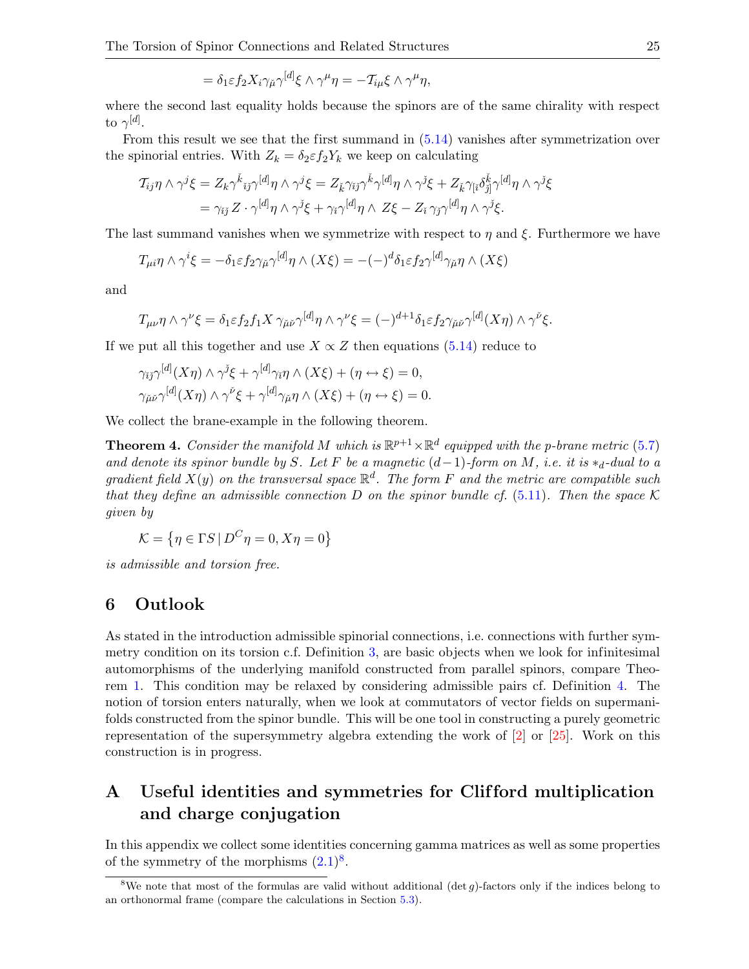$$
= \delta_1 \varepsilon f_2 X_i \gamma_{\check{\mu}} \gamma^{[d]} \xi \wedge \gamma^{\mu} \eta = -T_{i\mu} \xi \wedge \gamma^{\mu} \eta,
$$

where the second last equality holds because the spinors are of the same chirality with respect to  $\gamma^{[d]}.$ 

From this result we see that the first summand in [\(5.14\)](#page-23-0) vanishes after symmetrization over the spinorial entries. With  $Z_k = \delta_2 \varepsilon f_2 Y_k$  we keep on calculating

$$
T_{ij}\eta \wedge \gamma^j \xi = Z_k \gamma^{\check{k}}{}_{ij}\gamma^{[d]}\eta \wedge \gamma^j \xi = Z_{\check{k}} \gamma_{ij}\gamma^{\check{k}} \gamma^{[d]}\eta \wedge \gamma^j \xi + Z_{\check{k}} \gamma_{[\check{i}} \delta^{\check{k}}_{\check{j}]} \gamma^{[d]}\eta \wedge \gamma^{\check{j}} \xi
$$
  
= 
$$
\gamma_{ij} Z \cdot \gamma^{[d]} \eta \wedge \gamma^{\check{j}} \xi + \gamma_{\check{i}} \gamma^{[d]} \eta \wedge Z \xi - Z_{\check{i}} \gamma_{\check{j}} \gamma^{[d]} \eta \wedge \gamma^{\check{j}} \xi.
$$

The last summand vanishes when we symmetrize with respect to  $\eta$  and  $\xi$ . Furthermore we have

$$
T_{\mu i} \eta \wedge \gamma^i \xi = -\delta_1 \varepsilon f_2 \gamma_{\mu} \gamma^{[d]} \eta \wedge (X\xi) = -(-)^d \delta_1 \varepsilon f_2 \gamma^{[d]} \gamma_{\mu} \eta \wedge (X\xi)
$$

and

$$
T_{\mu\nu}\eta \wedge \gamma^{\nu}\xi = \delta_1 \varepsilon f_2 f_1 X \gamma_{\check{\mu}\check{\nu}} \gamma^{[d]} \eta \wedge \gamma^{\nu}\xi = (-)^{d+1} \delta_1 \varepsilon f_2 \gamma_{\check{\mu}\check{\nu}} \gamma^{[d]}(X\eta) \wedge \gamma^{\check{\nu}}\xi.
$$

If we put all this together and use  $X \propto Z$  then equations [\(5.14\)](#page-23-0) reduce to

$$
\gamma_{\check{i}\check{j}}\gamma^{[d]}(X\eta) \wedge \gamma^{\check{j}}\xi + \gamma^{[d]}\gamma_{\check{i}}\eta \wedge (X\xi) + (\eta \leftrightarrow \xi) = 0,
$$
  

$$
\gamma_{\check{\mu}\check{\nu}}\gamma^{[d]}(X\eta) \wedge \gamma^{\check{\nu}}\xi + \gamma^{[d]}\gamma_{\check{\mu}}\eta \wedge (X\xi) + (\eta \leftrightarrow \xi) = 0.
$$

We collect the brane-example in the following theorem.

**Theorem 4.** Consider the manifold M which is  $\mathbb{R}^{p+1} \times \mathbb{R}^d$  equipped with the p-brane metric [\(5.7\)](#page-19-3) and denote its spinor bundle by S. Let F be a magnetic  $(d-1)$ -form on M, i.e. it is  $*_d$ -dual to a gradient field  $X(y)$  on the transversal space  $\mathbb{R}^d$ . The form F and the metric are compatible such that they define an admissible connection D on the spinor bundle cf. [\(5.11\)](#page-21-1). Then the space  $\mathcal K$ given by

$$
\mathcal{K} = \{ \eta \in \Gamma S \, | \, D^C \eta = 0, X\eta = 0 \}
$$

is admissible and torsion free.

### 6 Outlook

As stated in the introduction admissible spinorial connections, i.e. connections with further symmetry condition on its torsion c.f. Definition [3,](#page-4-4) are basic objects when we look for infinitesimal automorphisms of the underlying manifold constructed from parallel spinors, compare Theorem [1.](#page-7-1) This condition may be relaxed by considering admissible pairs cf. Definition [4.](#page-7-4) The notion of torsion enters naturally, when we look at commutators of vector fields on supermanifolds constructed from the spinor bundle. This will be one tool in constructing a purely geometric representation of the supersymmetry algebra extending the work of [\[2\]](#page-26-19) or [\[25\]](#page-27-1). Work on this construction is in progress.

## <span id="page-24-0"></span>A Useful identities and symmetries for Clif ford multiplication and charge conjugation

In this appendix we collect some identities concerning gamma matrices as well as some properties of the symmetry of the morphisms  $(2.1)^8$  $(2.1)^8$ .

<span id="page-24-1"></span><sup>&</sup>lt;sup>8</sup>We note that most of the formulas are valid without additional (det  $g$ )-factors only if the indices belong to an orthonormal frame (compare the calculations in Section [5.3\)](#page-19-0).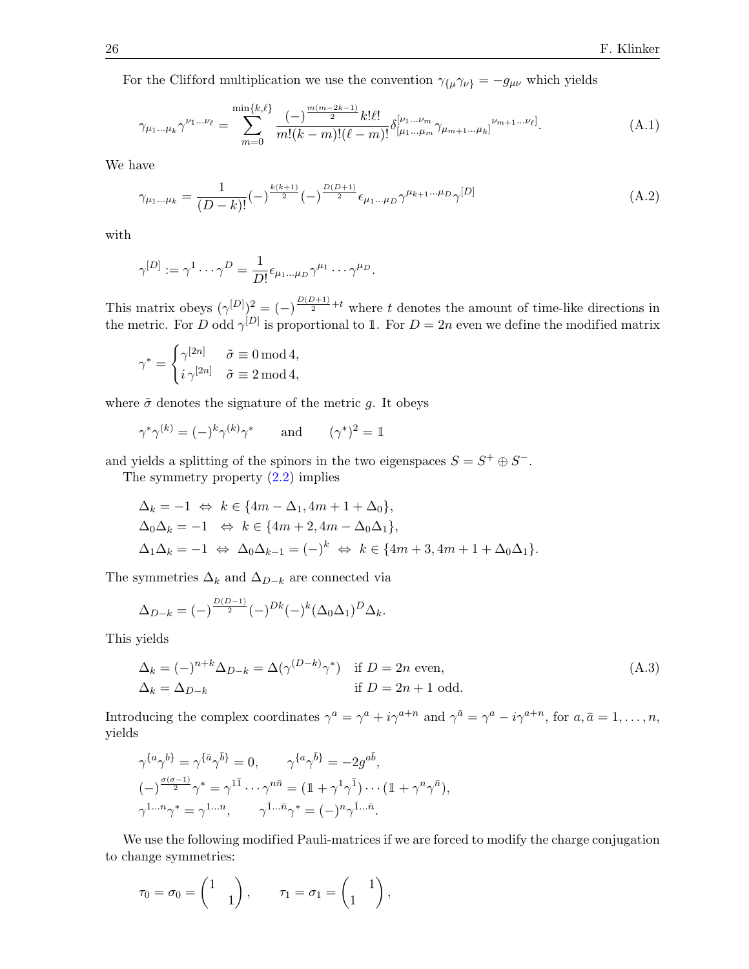For the Clifford multiplication we use the convention  $\gamma_{\{\mu}}\gamma_{\nu\}} = -g_{\mu\nu}$  which yields

<span id="page-25-2"></span>
$$
\gamma_{\mu_1\ldots\mu_k}\gamma^{\nu_1\ldots\nu_\ell} = \sum_{m=0}^{\min\{k,\ell\}} \frac{(-)^{\frac{m(m-2k-1)}{2}}k!\ell!}{m!(k-m)!(\ell-m)!} \delta^{[\nu_1\ldots\nu_m}_{[\mu_1\ldots\mu_m}\gamma_{\mu_{m+1}\ldots\mu_k]}^{\nu_{m+1}\ldots\nu_\ell]}.
$$
(A.1)

We have

<span id="page-25-1"></span>
$$
\gamma_{\mu_1...\mu_k} = \frac{1}{(D-k)!} (-)^{\frac{k(k+1)}{2}} (-)^{\frac{D(D+1)}{2}} \epsilon_{\mu_1...\mu_D} \gamma^{\mu_{k+1}...\mu_D} \gamma^{[D]}
$$
(A.2)

with

$$
\gamma^{[D]} := \gamma^1 \cdots \gamma^D = \frac{1}{D!} \epsilon_{\mu_1 \dots \mu_D} \gamma^{\mu_1} \cdots \gamma^{\mu_D}.
$$

This matrix obeys  $(\gamma^{[D]})^2 = (-)^{\frac{D(D+1)}{2}+t}$  where t denotes the amount of time-like directions in the metric. For D odd  $\gamma^{[D]}$  is proportional to 1. For  $D=2n$  even we define the modified matrix

$$
\gamma^* = \begin{cases} \gamma^{[2n]} & \tilde{\sigma} \equiv 0 \mod 4, \\ i \, \gamma^{[2n]} & \tilde{\sigma} \equiv 2 \mod 4, \end{cases}
$$

where  $\tilde{\sigma}$  denotes the signature of the metric g. It obeys

$$
\gamma^* \gamma^{(k)} = (-)^k \gamma^{(k)} \gamma^* \quad \text{and} \quad (\gamma^*)^2 = \mathbb{1}
$$

and yields a splitting of the spinors in the two eigenspaces  $S = S^+ \oplus S^-$ .

The symmetry property [\(2.2\)](#page-1-2) implies

$$
\Delta_k = -1 \Leftrightarrow k \in \{4m - \Delta_1, 4m + 1 + \Delta_0\},
$$
  
\n
$$
\Delta_0 \Delta_k = -1 \Leftrightarrow k \in \{4m + 2, 4m - \Delta_0 \Delta_1\},
$$
  
\n
$$
\Delta_1 \Delta_k = -1 \Leftrightarrow \Delta_0 \Delta_{k-1} = (-)^k \Leftrightarrow k \in \{4m + 3, 4m + 1 + \Delta_0 \Delta_1\}.
$$

The symmetries  $\Delta_k$  and  $\Delta_{D-k}$  are connected via

$$
\Delta_{D-k} = (-)^{\frac{D(D-1)}{2}} (-)^{Dk} (-)^k (\Delta_0 \Delta_1)^D \Delta_k.
$$

This yields

<span id="page-25-0"></span>
$$
\Delta_k = (-)^{n+k} \Delta_{D-k} = \Delta(\gamma^{(D-k)} \gamma^*) \quad \text{if } D = 2n \text{ even},
$$
  
\n
$$
\Delta_k = \Delta_{D-k} \qquad \qquad \text{if } D = 2n + 1 \text{ odd}.
$$
\n(A.3)

Introducing the complex coordinates  $\gamma^a = \gamma^a + i\gamma^{a+n}$  and  $\gamma^{\bar{a}} = \gamma^a - i\gamma^{a+n}$ , for  $a, \bar{a} = 1, \ldots, n$ , yields

$$
\gamma^{\{a}\gamma^{b\}} = \gamma^{\{\bar{a}}\gamma^{\bar{b}\}} = 0, \qquad \gamma^{\{a}\gamma^{\bar{b}\}} = -2g^{a\bar{b}},
$$

$$
(-\frac{\gamma^{\{\sigma-1\}}}{2}\gamma^* = \gamma^{1\bar{1}}\cdots\gamma^{n\bar{n}} = (\mathbb{1} + \gamma^1\gamma^{\bar{1}})\cdots(\mathbb{1} + \gamma^n\gamma^{\bar{n}}),
$$

$$
\gamma^{1...n}\gamma^* = \gamma^{1...n}, \qquad \gamma^{\bar{1}...\bar{n}}\gamma^* = (-)^n\gamma^{\bar{1}...\bar{n}}.
$$

We use the following modified Pauli-matrices if we are forced to modify the charge conjugation to change symmetries:

$$
\tau_0 = \sigma_0 = \begin{pmatrix} 1 & \\ & 1 \end{pmatrix}, \qquad \tau_1 = \sigma_1 = \begin{pmatrix} 1 & \\ 1 & \end{pmatrix},
$$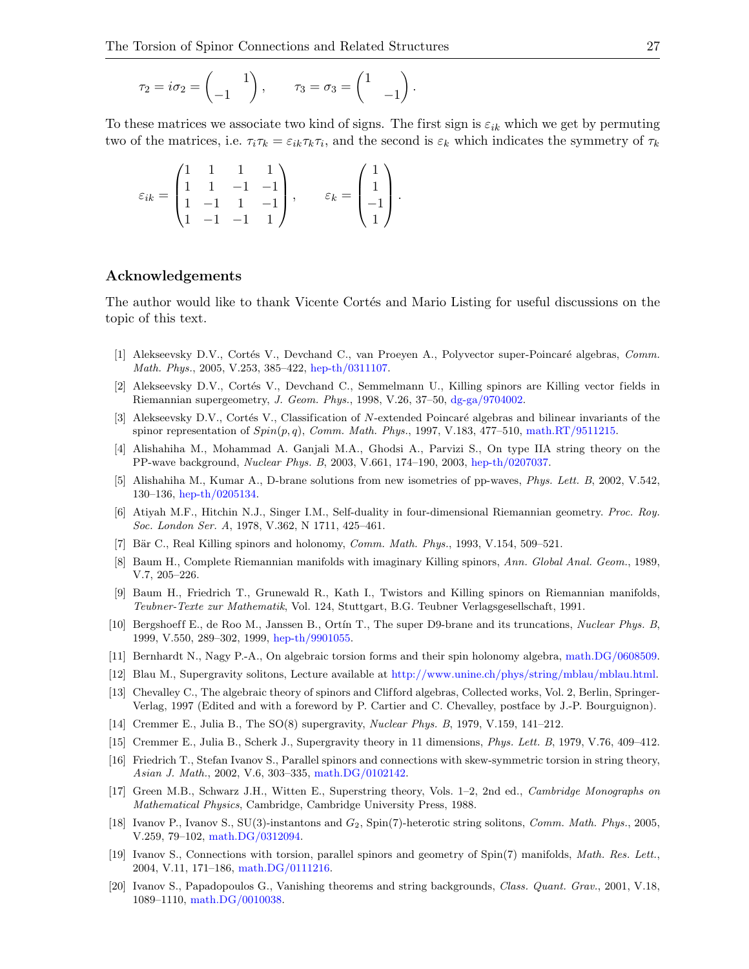$$
\tau_2 = i\sigma_2 = \begin{pmatrix} 1 \\ -1 \end{pmatrix}, \qquad \tau_3 = \sigma_3 = \begin{pmatrix} 1 \\ -1 \end{pmatrix}.
$$

To these matrices we associate two kind of signs. The first sign is  $\varepsilon_{ik}$  which we get by permuting two of the matrices, i.e.  $\tau_i \tau_k = \varepsilon_{ik} \tau_k \tau_i$ , and the second is  $\varepsilon_k$  which indicates the symmetry of  $\tau_k$ 

$$
\varepsilon_{ik} = \begin{pmatrix} 1 & 1 & 1 & 1 \\ 1 & 1 & -1 & -1 \\ 1 & -1 & 1 & -1 \\ 1 & -1 & -1 & 1 \end{pmatrix}, \qquad \varepsilon_k = \begin{pmatrix} 1 \\ 1 \\ -1 \\ 1 \end{pmatrix}.
$$

### Acknowledgements

The author would like to thank Vicente Cortés and Mario Listing for useful discussions on the topic of this text.

- <span id="page-26-3"></span>[1] Alekseevsky D.V., Cortés V., Devchand C., van Proeyen A., Polyvector super-Poincaré algebras, Comm. Math. Phys., 2005, V.253, 385–422, [hep-th/0311107.](http://arxiv.org/abs/hep-th/0311107)
- <span id="page-26-19"></span>[2] Alekseevsky D.V., Cortés V., Devchand C., Semmelmann U., Killing spinors are Killing vector fields in Riemannian supergeometry, J. Geom. Phys., 1998, V.26, 37–50, [dg-ga/9704002.](http://arxiv.org/abs/dg-ga/9704002)
- <span id="page-26-4"></span>[3] Alekseevsky D.V., Cortés V., Classification of N-extended Poincaré algebras and bilinear invariants of the spinor representation of  $Spin(p,q)$ , Comm. Math. Phys., 1997, V.183, 477–510, [math.RT/9511215.](http://arxiv.org/abs/math.RT/9511215)
- <span id="page-26-11"></span>[4] Alishahiha M., Mohammad A. Ganjali M.A., Ghodsi A., Parvizi S., On type IIA string theory on the PP-wave background, Nuclear Phys. B, 2003, V.661, 174–190, 2003, [hep-th/0207037.](http://arxiv.org/abs/hep-th/0207037)
- <span id="page-26-17"></span>[5] Alishahiha M., Kumar A., D-brane solutions from new isometries of pp-waves, Phys. Lett. B, 2002, V.542, 130–136, [hep-th/0205134.](http://arxiv.org/abs/hep-th/0205134)
- <span id="page-26-16"></span>[6] Atiyah M.F., Hitchin N.J., Singer I.M., Self-duality in four-dimensional Riemannian geometry. Proc. Roy. Soc. London Ser. A, 1978, V.362, N 1711, 425–461.
- <span id="page-26-9"></span>[7] Bär C., Real Killing spinors and holonomy, *Comm. Math. Phys.*, 1993, V.154, 509–521.
- <span id="page-26-7"></span>[8] Baum H., Complete Riemannian manifolds with imaginary Killing spinors, Ann. Global Anal. Geom., 1989, V.7, 205–226.
- <span id="page-26-8"></span>[9] Baum H., Friedrich T., Grunewald R., Kath I., Twistors and Killing spinors on Riemannian manifolds, Teubner-Texte zur Mathematik, Vol. 124, Stuttgart, B.G. Teubner Verlagsgesellschaft, 1991.
- <span id="page-26-12"></span>[10] Bergshoeff E., de Roo M., Janssen B., Ortín T., The super D9-brane and its truncations, Nuclear Phys. B, 1999, V.550, 289–302, 1999, [hep-th/9901055.](http://arxiv.org/abs/hep-th/9901055)
- <span id="page-26-2"></span>[11] Bernhardt N., Nagy P.-A., On algebraic torsion forms and their spin holonomy algebra, [math.DG/0608509.](http://arxiv.org/abs/math.DG/0608509)
- <span id="page-26-18"></span>[12] Blau M., Supergravity solitons, Lecture available at [http://www.unine.ch/phys/string/mblau/mblau.html.](http://www.unine.ch/phys/string/mblau/mblau.html)
- <span id="page-26-15"></span>[13] Chevalley C., The algebraic theory of spinors and Clifford algebras, Collected works, Vol. 2, Berlin, Springer-Verlag, 1997 (Edited and with a foreword by P. Cartier and C. Chevalley, postface by J.-P. Bourguignon).
- <span id="page-26-5"></span>[14] Cremmer E., Julia B., The SO(8) supergravity, Nuclear Phys. B, 1979, V.159, 141–212.
- <span id="page-26-1"></span>[15] Cremmer E., Julia B., Scherk J., Supergravity theory in 11 dimensions, Phys. Lett. B, 1979, V.76, 409–412.
- <span id="page-26-13"></span>[16] Friedrich T., Stefan Ivanov S., Parallel spinors and connections with skew-symmetric torsion in string theory, Asian J. Math., 2002, V.6, 303–335, [math.DG/0102142.](http://arxiv.org/abs/math.DG/0102142)
- <span id="page-26-6"></span>[17] Green M.B., Schwarz J.H., Witten E., Superstring theory, Vols. 1–2, 2nd ed., Cambridge Monographs on Mathematical Physics, Cambridge, Cambridge University Press, 1988.
- <span id="page-26-0"></span>[18] Ivanov P., Ivanov S., SU(3)-instantons and  $G_2$ , Spin(7)-heterotic string solitons, Comm. Math. Phys., 2005. V.259, 79–102, [math.DG/0312094.](http://arxiv.org/abs/math.DG/0312094)
- <span id="page-26-10"></span>[19] Ivanov S., Connections with torsion, parallel spinors and geometry of Spin(7) manifolds, Math. Res. Lett., 2004, V.11, 171–186, [math.DG/0111216.](http://arxiv.org/abs/math.DG/0111216)
- <span id="page-26-14"></span>[20] Ivanov S., Papadopoulos G., Vanishing theorems and string backgrounds, Class. Quant. Grav., 2001, V.18, 1089–1110, [math.DG/0010038.](http://arxiv.org/abs/math.DG/0010038)